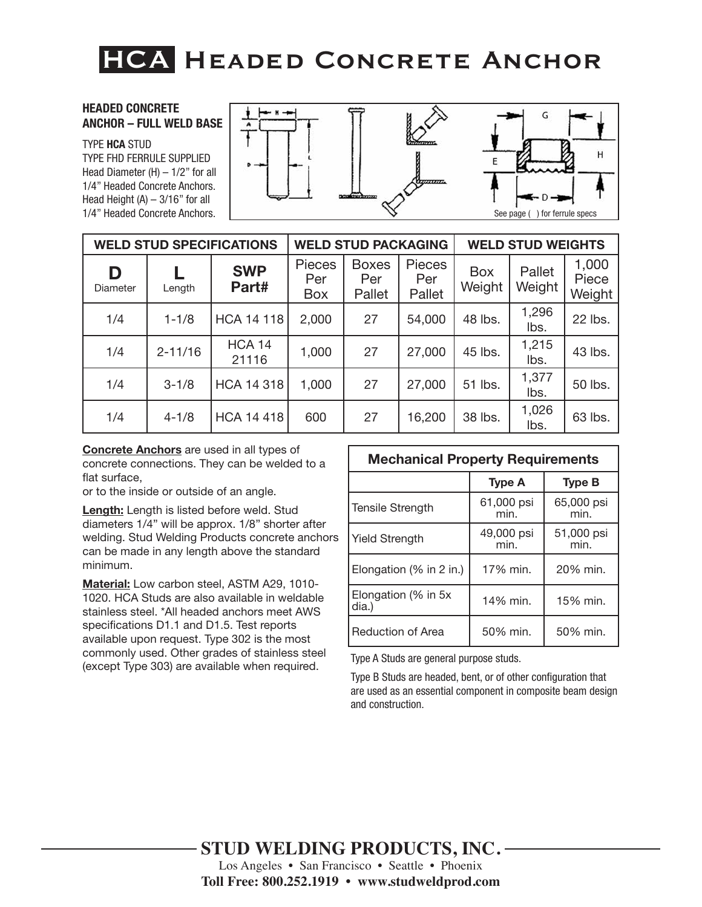### **HEADED CONCRETE ANCHOR – FULL WELD BASE**

TYPE **HCA** STUD

TYPE FHD FERRULE SUPPLIED Head Diameter  $(H) - 1/2$ " for all 1/4" Headed Concrete Anchors. Head Height  $(A) - 3/16$ " for all 1/4" Headed Concrete Anchors.



| <b>WELD STUD SPECIFICATIONS</b> |             |                        | <b>WELD STUD PACKAGING</b>         |                               |                         | <b>WELD STUD WEIGHTS</b> |                  |                          |
|---------------------------------|-------------|------------------------|------------------------------------|-------------------------------|-------------------------|--------------------------|------------------|--------------------------|
| D<br>Diameter                   | Length      | <b>SWP</b><br>Part#    | <b>Pieces</b><br>Per<br><b>Box</b> | <b>Boxes</b><br>Per<br>Pallet | Pieces<br>Per<br>Pallet | <b>Box</b><br>Weight     | Pallet<br>Weight | 1,000<br>Piece<br>Weight |
| 1/4                             | $1 - 1/8$   | <b>HCA 14 118</b>      | 2,000                              | 27                            | 54,000                  | 48 lbs.                  | 1,296<br>lbs.    | 22 lbs.                  |
| 1/4                             | $2 - 11/16$ | <b>HCA 14</b><br>21116 | 1,000                              | 27                            | 27,000                  | 45 lbs.                  | 1,215<br>lbs.    | 43 lbs.                  |
| 1/4                             | $3 - 1/8$   | <b>HCA 14 318</b>      | 1,000                              | 27                            | 27,000                  | 51 lbs.                  | 1,377<br>lbs.    | 50 lbs.                  |
| 1/4                             | $4 - 1/8$   | <b>HCA 14 418</b>      | 600                                | 27                            | 16,200                  | 38 lbs.                  | 1,026<br>lbs.    | 63 lbs.                  |

**Concrete Anchors** are used in all types of concrete connections. They can be welded to a flat surface,

or to the inside or outside of an angle.

**Length:** Length is listed before weld. Stud diameters 1/4" will be approx. 1/8" shorter after welding. Stud Welding Products concrete anchors can be made in any length above the standard minimum.

**Material:** Low carbon steel, ASTM A29, 1010- 1020. HCA Studs are also available in weldable stainless steel. \*All headed anchors meet AWS specifications D1.1 and D1.5. Test reports available upon request. Type 302 is the most commonly used. Other grades of stainless steel (except Type 303) are available when required.

| <b>Mechanical Property Requirements</b> |                    |                    |  |  |  |  |
|-----------------------------------------|--------------------|--------------------|--|--|--|--|
|                                         | <b>Type A</b>      | <b>Type B</b>      |  |  |  |  |
| <b>Tensile Strength</b>                 | 61,000 psi<br>min. | 65,000 psi<br>min. |  |  |  |  |
| <b>Yield Strength</b>                   | 49,000 psi<br>min. | 51,000 psi<br>min. |  |  |  |  |
| Elongation (% in 2 in.)                 | 17% min.           | 20% min.           |  |  |  |  |
| Elongation (% in 5x<br>dia.)            | 14% min.           | 15% min.           |  |  |  |  |
| <b>Reduction of Area</b>                | 50% min.           | 50% min.           |  |  |  |  |

Type A Studs are general purpose studs.

Type B Studs are headed, bent, or of other configuration that are used as an essential component in composite beam design and construction.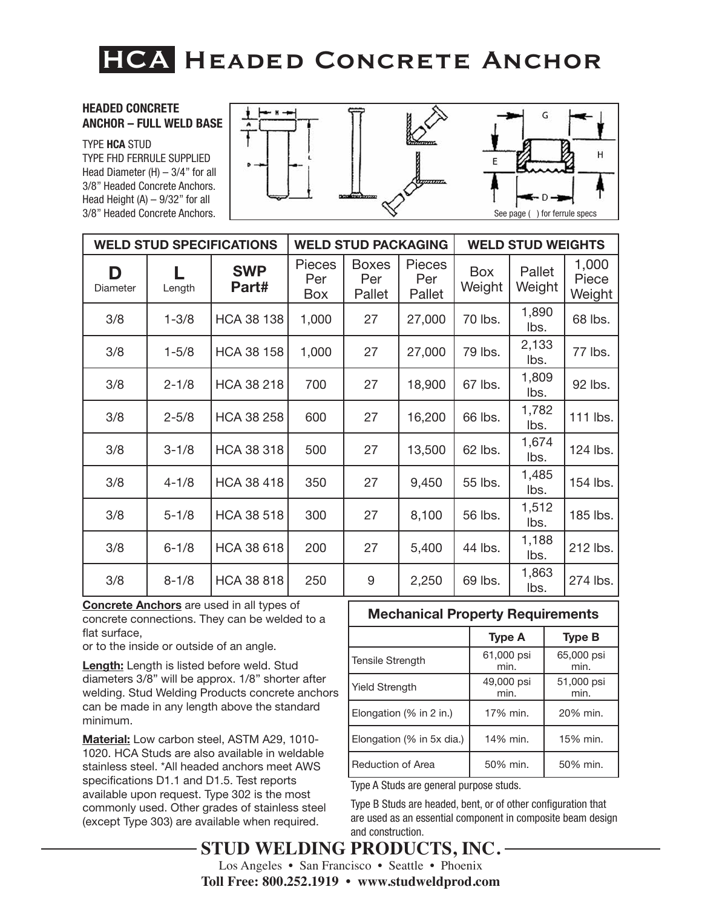### **HEADED CONCRETE ANCHOR – FULL WELD BASE**

TYPE **HCA** STUD TYPE FHD FERRULE SUPPLIED Head Diameter (H) – 3/4" for all 3/8" Headed Concrete Anchors. Head Height  $(A) - 9/32$ " for all 3/8" Headed Concrete Anchors.



| <b>WELD STUD SPECIFICATIONS</b> |           |                     | <b>WELD STUD PACKAGING</b>  |                               |                                | <b>WELD STUD WEIGHTS</b> |                  |                          |
|---------------------------------|-----------|---------------------|-----------------------------|-------------------------------|--------------------------------|--------------------------|------------------|--------------------------|
| D<br>Diameter                   | Length    | <b>SWP</b><br>Part# | <b>Pieces</b><br>Per<br>Box | <b>Boxes</b><br>Per<br>Pallet | <b>Pieces</b><br>Per<br>Pallet | <b>Box</b><br>Weight     | Pallet<br>Weight | 1,000<br>Piece<br>Weight |
| 3/8                             | $1 - 3/8$ | <b>HCA 38 138</b>   | 1,000                       | 27                            | 27,000                         | 70 lbs.                  | 1,890<br>lbs.    | 68 lbs.                  |
| 3/8                             | $1 - 5/8$ | <b>HCA 38 158</b>   | 1,000                       | 27                            | 27,000                         | 79 lbs.                  | 2,133<br>lbs.    | 77 lbs.                  |
| 3/8                             | $2 - 1/8$ | <b>HCA 38 218</b>   | 700                         | 27                            | 18,900                         | 67 lbs.                  | 1,809<br>lbs.    | 92 lbs.                  |
| 3/8                             | $2 - 5/8$ | <b>HCA 38 258</b>   | 600                         | 27                            | 16,200                         | 66 lbs.                  | 1,782<br>lbs.    | 111 lbs.                 |
| 3/8                             | $3 - 1/8$ | <b>HCA 38 318</b>   | 500                         | 27                            | 13,500                         | 62 lbs.                  | 1,674<br>lbs.    | 124 lbs.                 |
| 3/8                             | $4 - 1/8$ | <b>HCA 38 418</b>   | 350                         | 27                            | 9,450                          | 55 lbs.                  | 1,485<br>lbs.    | 154 lbs.                 |
| 3/8                             | $5 - 1/8$ | <b>HCA 38 518</b>   | 300                         | 27                            | 8,100                          | 56 lbs.                  | 1,512<br>lbs.    | 185 lbs.                 |
| 3/8                             | $6 - 1/8$ | <b>HCA 38 618</b>   | 200                         | 27                            | 5,400                          | 44 lbs.                  | 1,188<br>lbs.    | 212 lbs.                 |
| 3/8                             | $8 - 1/8$ | <b>HCA 38 818</b>   | 250                         | 9                             | 2,250                          | 69 lbs.                  | 1,863<br>lbs.    | 274 lbs.                 |

**Concrete Anchors** are used in all types of concrete connections. They can be welded to a flat surface

or to the inside or outside of an angle.

**Length:** Length is listed before weld. Stud diameters 3/8" will be approx. 1/8" shorter after welding. Stud Welding Products concrete anchors can be made in any length above the standard minimum.

**Material:** Low carbon steel, ASTM A29, 1010- 1020. HCA Studs are also available in weldable stainless steel. \*All headed anchors meet AWS specifications D1.1 and D1.5. Test reports available upon request. Type 302 is the most commonly used. Other grades of stainless steel (except Type 303) are available when required.

### **Mechanical Property Requirements**

|                           | <b>Type A</b>      | <b>Type B</b>      |
|---------------------------|--------------------|--------------------|
| <b>Tensile Strength</b>   | 61,000 psi<br>min. | 65,000 psi<br>min. |
| <b>Yield Strength</b>     | 49,000 psi<br>min. | 51,000 psi<br>min. |
| Elongation (% in 2 in.)   | 17% min.           | 20% min.           |
| Elongation (% in 5x dia.) | 14% min.           | 15% min.           |
| Reduction of Area         | 50% min.           | 50% min.           |

Type A Studs are general purpose studs.

Type B Studs are headed, bent, or of other configuration that are used as an essential component in composite beam design and construction.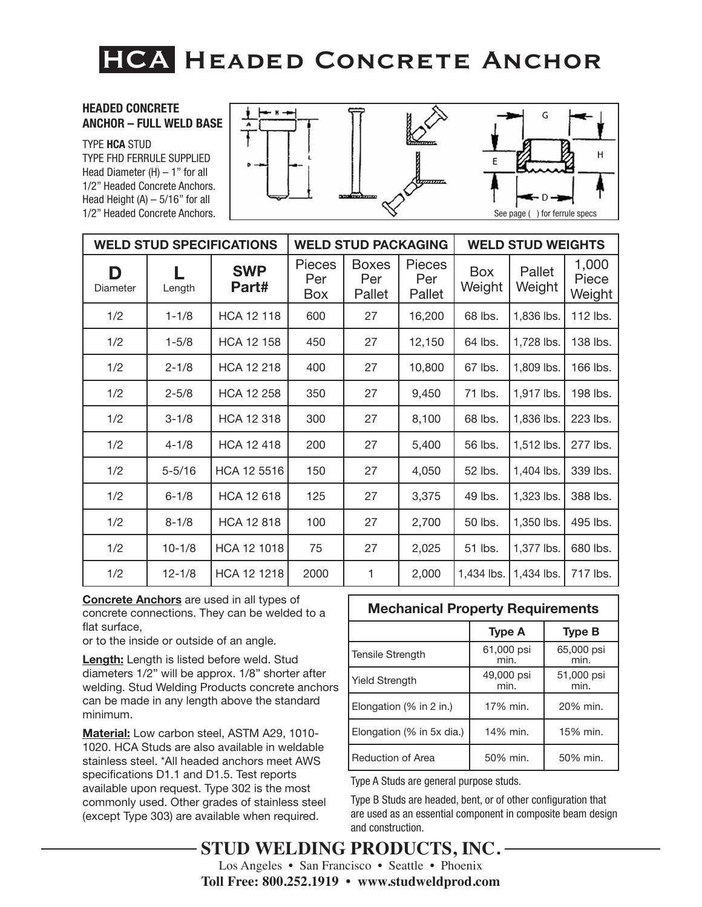### **HEADED CONCRETE ANCHOR – FULL WELD BASE**

TYPE **HCA** STUD TYPE FHD FERRULE SUPPLIED Head Diameter (H) – 1" for all 1/2" Headed Concrete Anchors. Head Height  $(A) - 5/16$ " for all 1/2" Headed Concrete Anchors.



| <b>WELD STUD SPECIFICATIONS</b> |            |                     |                             | <b>WELD STUD PACKAGING</b>    |                                |                      | <b>WELD STUD WEIGHTS</b> |                          |
|---------------------------------|------------|---------------------|-----------------------------|-------------------------------|--------------------------------|----------------------|--------------------------|--------------------------|
| D<br>Diameter                   | Length     | <b>SWP</b><br>Part# | <b>Pieces</b><br>Per<br>Box | <b>Boxes</b><br>Per<br>Pallet | <b>Pieces</b><br>Per<br>Pallet | <b>Box</b><br>Weight | Pallet<br>Weight         | 1,000<br>Piece<br>Weight |
| 1/2                             | $1 - 1/8$  | <b>HCA 12 118</b>   | 600                         | 27                            | 16,200                         | 68 lbs.              | 1,836 lbs.               | 112 lbs.                 |
| 1/2                             | $1 - 5/8$  | <b>HCA 12 158</b>   | 450                         | 27                            | 12,150                         | 64 lbs.              | 1,728 lbs.               | 138 lbs.                 |
| 1/2                             | $2 - 1/8$  | HCA 12 218          | 400                         | 27                            | 10,800                         | 67 lbs.              | 1,809 lbs.               | 166 lbs.                 |
| 1/2                             | $2 - 5/8$  | <b>HCA 12 258</b>   | 350                         | 27                            | 9,450                          | 71 lbs.              | 1,917 lbs.               | 198 lbs.                 |
| 1/2                             | $3 - 1/8$  | <b>HCA 12 318</b>   | 300                         | 27                            | 8,100                          | 68 lbs.              | 1,836 lbs.               | 223 lbs.                 |
| 1/2                             | $4 - 1/8$  | <b>HCA 12 418</b>   | 200                         | 27                            | 5,400                          | 56 lbs.              | 1,512 lbs.               | 277 lbs.                 |
| 1/2                             | $5 - 5/16$ | HCA 12 5516         | 150                         | 27                            | 4,050                          | 52 lbs.              | 1,404 lbs.               | 339 lbs.                 |
| 1/2                             | $6 - 1/8$  | HCA 12 618          | 125                         | 27                            | 3,375                          | 49 lbs.              | 1,323 lbs.               | 388 lbs.                 |
| 1/2                             | $8 - 1/8$  | <b>HCA 12 818</b>   | 100                         | 27                            | 2,700                          | 50 lbs.              | 1,350 lbs.               | 495 lbs.                 |
| 1/2                             | $10 - 1/8$ | HCA 12 1018         | 75                          | 27                            | 2,025                          | 51 lbs.              | 1,377 lbs.               | 680 lbs.                 |
| 1/2                             | $12 - 1/8$ | HCA 12 1218         | 2000                        | 1                             | 2,000                          | 1,434 lbs.           | 1,434 lbs.               | 717 lbs.                 |

**Concrete Anchors** are used in all types of concrete connections. They can be welded to a flat surface,

or to the inside or outside of an angle.

**Length:** Length is listed before weld. Stud diameters 1/2" will be approx. 1/8" shorter after welding. Stud Welding Products concrete anchors can be made in any length above the standard minimum.

**Material:** Low carbon steel, ASTM A29, 1010- 1020. HCA Studs are also available in weldable stainless steel. \*All headed anchors meet AWS specifications D1.1 and D1.5. Test reports available upon request. Type 302 is the most commonly used. Other grades of stainless steel (except Type 303) are available when required.

### **Mechanical Property Requirements**

|                           | <b>Type A</b>      | <b>Type B</b>      |
|---------------------------|--------------------|--------------------|
| <b>Tensile Strength</b>   | 61,000 psi<br>min. | 65,000 psi<br>min. |
| <b>Yield Strength</b>     | 49,000 psi<br>min. | 51,000 psi<br>min. |
| Elongation $(%$ in 2 in.) | 17% min.           | 20% min.           |
| Elongation (% in 5x dia.) | 14% min.           | 15% min.           |
| <b>Reduction of Area</b>  | 50% min.           | 50% min.           |

Type A Studs are general purpose studs.

Type B Studs are headed, bent, or of other configuration that are used as an essential component in composite beam design and construction.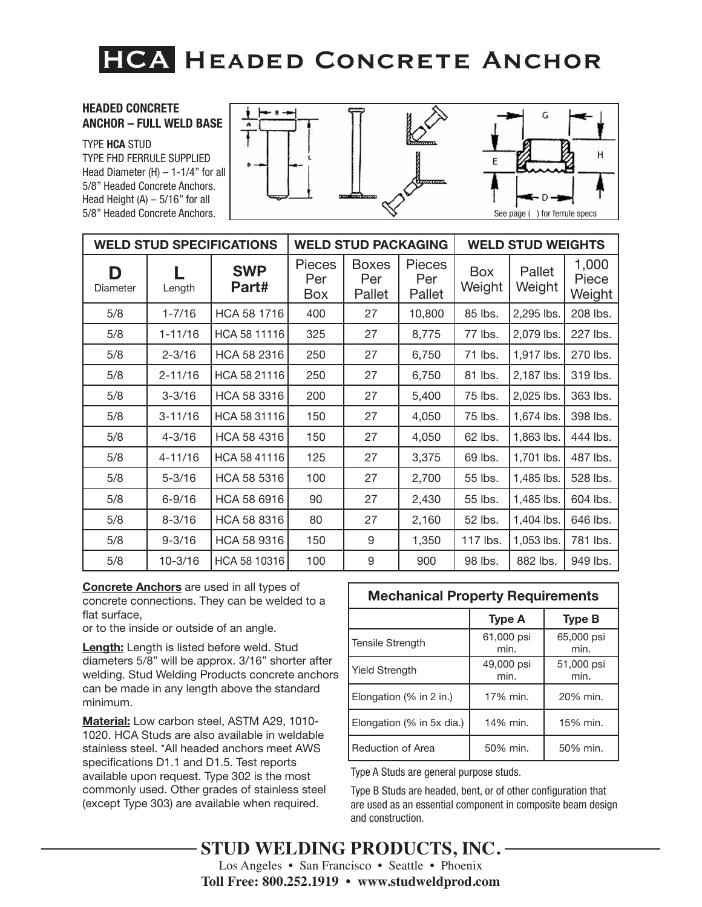### **HEADED CONCRETE ANCHOR – FULL WELD BASE**

TYPE **HCA** STUD TYPE FHD FERRULE SUPPLIED Head Diameter  $(H)$  – 1-1/4" for all 5/8" Headed Concrete Anchors. Head Height  $(A) - 5/16$ " for all 5/8" Headed Concrete Anchors.



| <b>WELD STUD SPECIFICATIONS</b> |             |                     |                             | <b>WELD STUD PACKAGING</b>    |                         |                      | <b>WELD STUD WEIGHTS</b> |                          |
|---------------------------------|-------------|---------------------|-----------------------------|-------------------------------|-------------------------|----------------------|--------------------------|--------------------------|
| D<br>Diameter                   | Length      | <b>SWP</b><br>Part# | <b>Pieces</b><br>Per<br>Box | <b>Boxes</b><br>Per<br>Pallet | Pieces<br>Per<br>Pallet | <b>Box</b><br>Weight | Pallet<br>Weight         | 1,000<br>Piece<br>Weight |
| 5/8                             | $1 - 7/16$  | HCA 58 1716         | 400                         | 27                            | 10,800                  | 85 lbs.              | 2,295 lbs.               | 208 lbs.                 |
| 5/8                             | $1 - 11/16$ | HCA 58 11116        | 325                         | 27                            | 8,775                   | 77 lbs.              | 2,079 lbs.               | 227 lbs.                 |
| 5/8                             | $2 - 3/16$  | HCA 58 2316         | 250                         | 27                            | 6,750                   | 71 lbs.              | 1,917 lbs.               | 270 lbs.                 |
| 5/8                             | $2 - 11/16$ | HCA 58 21116        | 250                         | 27                            | 6,750                   | 81 lbs.              | 2,187 lbs.               | 319 lbs.                 |
| 5/8                             | $3 - 3/16$  | HCA 58 3316         | 200                         | 27                            | 5,400                   | 75 lbs.              | 2,025 lbs.               | 363 lbs.                 |
| 5/8                             | $3 - 11/16$ | HCA 58 31116        | 150                         | 27                            | 4,050                   | 75 lbs.              | 1,674 lbs.               | 398 lbs.                 |
| 5/8                             | $4 - 3/16$  | HCA 58 4316         | 150                         | 27                            | 4,050                   | 62 lbs.              | 1,863 lbs.               | 444 lbs.                 |
| 5/8                             | $4 - 11/16$ | HCA 58 41116        | 125                         | 27                            | 3,375                   | 69 lbs.              | 1,701 lbs.               | 487 lbs.                 |
| 5/8                             | $5 - 3/16$  | HCA 58 5316         | 100                         | 27                            | 2,700                   | 55 lbs.              | 1,485 lbs.               | 528 lbs.                 |
| 5/8                             | $6 - 9/16$  | HCA 58 6916         | 90                          | 27                            | 2,430                   | 55 lbs.              | 1,485 lbs.               | 604 lbs.                 |
| 5/8                             | $8 - 3/16$  | HCA 58 8316         | 80                          | 27                            | 2,160                   | 52 lbs.              | 1,404 lbs.               | 646 lbs.                 |
| 5/8                             | $9 - 3/16$  | HCA 58 9316         | 150                         | 9                             | 1,350                   | 117 lbs.             | 1,053 lbs.               | 781 lbs.                 |
| 5/8                             | $10 - 3/16$ | HCA 58 10316        | 100                         | 9                             | 900                     | 98 lbs.              | 882 lbs.                 | 949 lbs.                 |

**Concrete Anchors** are used in all types of concrete connections. They can be welded to a flat surface,

or to the inside or outside of an angle.

**Length:** Length is listed before weld. Stud diameters 5/8" will be approx. 3/16" shorter after welding. Stud Welding Products concrete anchors can be made in any length above the standard minimum.

**Material:** Low carbon steel, ASTM A29, 1010- 1020. HCA Studs are also available in weldable stainless steel. \*All headed anchors meet AWS specifications D1.1 and D1.5. Test reports available upon request. Type 302 is the most commonly used. Other grades of stainless steel (except Type 303) are available when required.

| <b>Mechanical Property Requirements</b> |                    |                    |  |  |  |  |
|-----------------------------------------|--------------------|--------------------|--|--|--|--|
|                                         | <b>Type A</b>      | <b>Type B</b>      |  |  |  |  |
| <b>Tensile Strength</b>                 | 61,000 psi<br>min. | 65,000 psi<br>min. |  |  |  |  |
| <b>Yield Strength</b>                   | 49,000 psi<br>min. | 51,000 psi<br>min. |  |  |  |  |
| Elongation (% in 2 in.)                 | 17% min.           | 20% min.           |  |  |  |  |
| Elongation (% in 5x dia.)               | 14% min.           | 15% min.           |  |  |  |  |
| Reduction of Area                       | 50% min.           | 50% min.           |  |  |  |  |

Type A Studs are general purpose studs.

Type B Studs are headed, bent, or of other configuration that are used as an essential component in composite beam design and construction.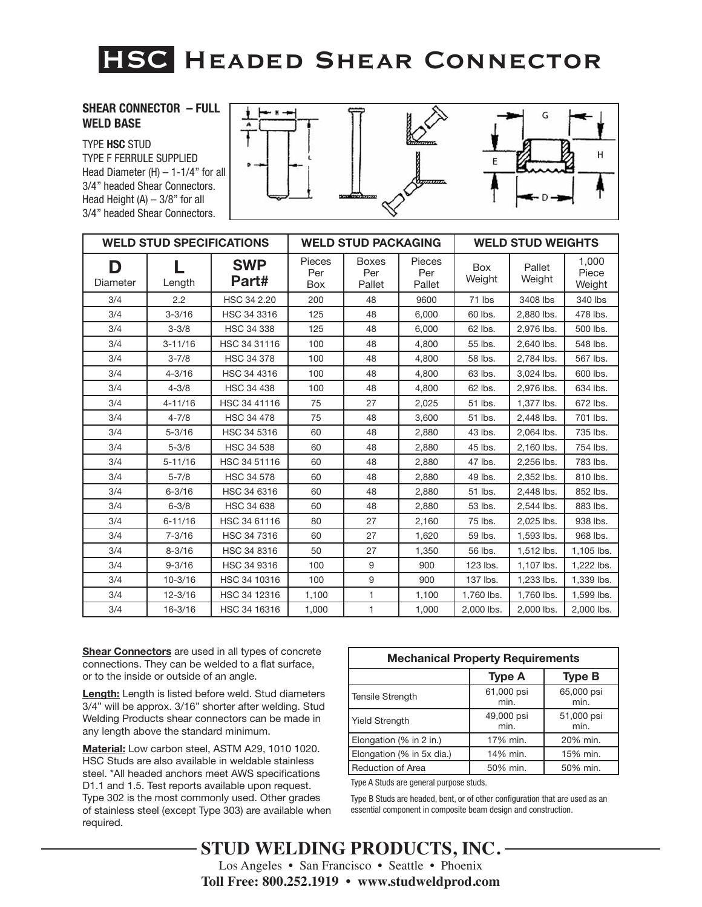# **HSC. Headed Shear Connector**

### **SHEAR CONNECTOR – FULL WELD BASE**

### TYPE **HSC** STUD

TYPE F FERRULE SUPPLIED Head Diameter  $(H)$  – 1-1/4" for all 3/4" headed Shear Connectors. Head Height  $(A) - 3/8$ " for all 3/4" headed Shear Connectors.



| <b>WELD STUD SPECIFICATIONS</b> |             |                     |                      | <b>WELD STUD PACKAGING</b>    |                                |               | <b>WELD STUD WEIGHTS</b> |                          |
|---------------------------------|-------------|---------------------|----------------------|-------------------------------|--------------------------------|---------------|--------------------------|--------------------------|
| D<br>Diameter                   | Length      | <b>SWP</b><br>Part# | Pieces<br>Per<br>Box | <b>Boxes</b><br>Per<br>Pallet | <b>Pieces</b><br>Per<br>Pallet | Box<br>Weight | Pallet<br>Weight         | 1.000<br>Piece<br>Weight |
| 3/4                             | 2.2         | HSC 34 2.20         | 200                  | 48                            | 9600                           | 71 lbs        | 3408 lbs                 | 340 lbs                  |
| 3/4                             | $3 - 3/16$  | HSC 34 3316         | 125                  | 48                            | 6.000                          | 60 lbs.       | 2,880 lbs.               | 478 lbs.                 |
| 3/4                             | $3 - 3/8$   | <b>HSC 34 338</b>   | 125                  | 48                            | 6.000                          | 62 lbs.       | 2.976 lbs.               | 500 lbs.                 |
| 3/4                             | $3 - 11/16$ | HSC 34 31116        | 100                  | 48                            | 4,800                          | 55 lbs.       | 2,640 lbs.               | 548 lbs.                 |
| 3/4                             | $3 - 7/8$   | <b>HSC 34 378</b>   | 100                  | 48                            | 4,800                          | 58 lbs.       | 2,784 lbs.               | 567 lbs.                 |
| 3/4                             | $4 - 3/16$  | HSC 34 4316         | 100                  | 48                            | 4,800                          | 63 lbs.       | 3,024 lbs.               | 600 lbs.                 |
| 3/4                             | $4 - 3/8$   | <b>HSC 34 438</b>   | 100                  | 48                            | 4,800                          | 62 lbs.       | 2,976 lbs.               | 634 lbs.                 |
| 3/4                             | $4 - 11/16$ | HSC 34 41116        | 75                   | 27                            | 2,025                          | 51 lbs.       | 1,377 lbs.               | 672 lbs.                 |
| 3/4                             | $4 - 7/8$   | <b>HSC 34 478</b>   | 75                   | 48                            | 3.600                          | 51 lbs.       | 2,448 lbs.               | 701 lbs.                 |
| 3/4                             | $5 - 3/16$  | HSC 34 5316         | 60                   | 48                            | 2,880                          | 43 lbs.       | 2,064 lbs.               | 735 lbs.                 |
| 3/4                             | $5 - 3/8$   | HSC 34 538          | 60                   | 48                            | 2,880                          | 45 lbs.       | 2,160 lbs.               | 754 lbs.                 |
| 3/4                             | $5 - 11/16$ | HSC 34 51116        | 60                   | 48                            | 2.880                          | 47 lbs.       | 2.256 lbs.               | 783 lbs.                 |
| 3/4                             | $5 - 7/8$   | <b>HSC 34 578</b>   | 60                   | 48                            | 2,880                          | 49 lbs.       | 2,352 lbs.               | 810 lbs.                 |
| 3/4                             | $6 - 3/16$  | HSC 34 6316         | 60                   | 48                            | 2,880                          | 51 lbs.       | 2,448 lbs.               | 852 lbs.                 |
| 3/4                             | $6 - 3/8$   | <b>HSC 34 638</b>   | 60                   | 48                            | 2,880                          | 53 lbs.       | 2.544 lbs.               | 883 lbs.                 |
| 3/4                             | $6 - 11/16$ | HSC 34 61116        | 80                   | 27                            | 2,160                          | 75 lbs.       | 2,025 lbs.               | 938 lbs.                 |
| 3/4                             | $7 - 3/16$  | HSC 34 7316         | 60                   | 27                            | 1,620                          | 59 lbs.       | 1,593 lbs.               | 968 lbs.                 |
| 3/4                             | $8 - 3/16$  | HSC 34 8316         | 50                   | 27                            | 1.350                          | 56 lbs.       | 1,512 lbs.               | 1,105 lbs.               |
| 3/4                             | $9 - 3/16$  | HSC 34 9316         | 100                  | 9                             | 900                            | 123 lbs.      | 1,107 lbs.               | 1,222 lbs.               |
| 3/4                             | $10 - 3/16$ | HSC 34 10316        | 100                  | 9                             | 900                            | 137 lbs.      | 1,233 lbs.               | 1,339 lbs.               |
| 3/4                             | $12 - 3/16$ | HSC 34 12316        | 1,100                | $\mathbf{1}$                  | 1,100                          | 1,760 lbs.    | 1,760 lbs.               | 1,599 lbs.               |
| 3/4                             | $16 - 3/16$ | HSC 34 16316        | 1,000                | 1                             | 1,000                          | 2,000 lbs.    | 2,000 lbs.               | 2,000 lbs.               |

**Shear Connectors** are used in all types of concrete connections. They can be welded to a flat surface, or to the inside or outside of an angle.

**Length:** Length is listed before weld. Stud diameters 3/4" will be approx. 3/16" shorter after welding. Stud Welding Products shear connectors can be made in any length above the standard minimum.

**Material:** Low carbon steel, ASTM A29, 1010 1020. HSC Studs are also available in weldable stainless steel. \*All headed anchors meet AWS specifications D1.1 and 1.5. Test reports available upon request. Type 302 is the most commonly used. Other grades of stainless steel (except Type 303) are available when required.

| <b>Mechanical Property Requirements</b> |                    |                    |  |  |  |  |  |
|-----------------------------------------|--------------------|--------------------|--|--|--|--|--|
|                                         | <b>Type A</b>      | <b>Type B</b>      |  |  |  |  |  |
| <b>Tensile Strength</b>                 | 61,000 psi<br>min. | 65,000 psi<br>min. |  |  |  |  |  |
| <b>Yield Strength</b>                   | 49,000 psi<br>min. | 51,000 psi<br>min. |  |  |  |  |  |
| Elongation (% in 2 in.)                 | 17% min.           | 20% min.           |  |  |  |  |  |
| Elongation (% in 5x dia.)               | 14% min.           | 15% min.           |  |  |  |  |  |
| <b>Reduction of Area</b>                | 50% min.           | 50% min.           |  |  |  |  |  |

Type A Studs are general purpose studs.

Type B Studs are headed, bent, or of other configuration that are used as an essential component in composite beam design and construction.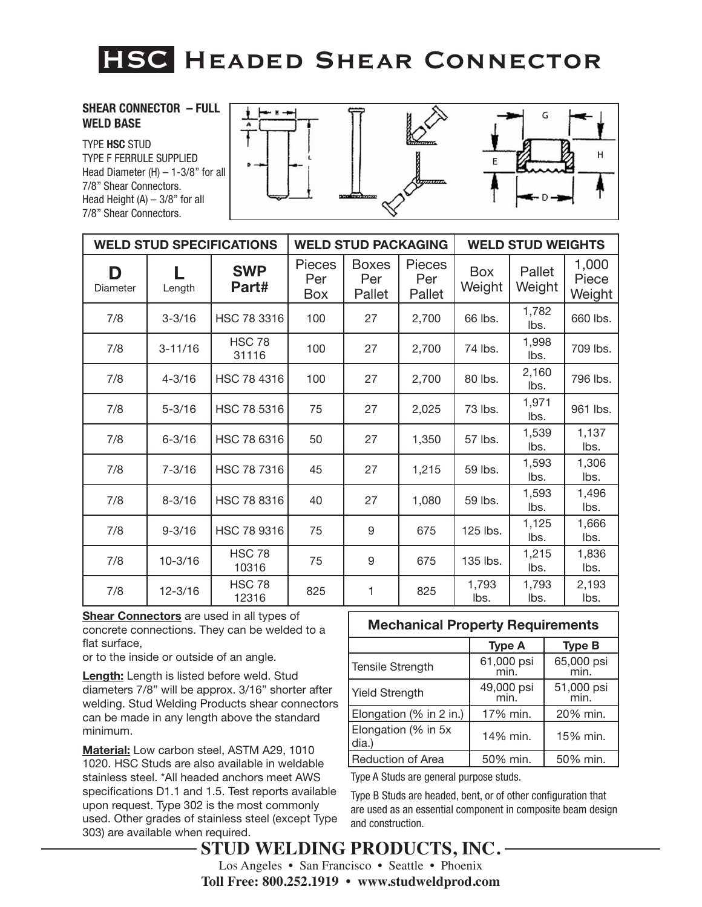# **HSC. Headed Shear Connector**

### **SHEAR CONNECTOR – FULL WELD BASE**

TYPE **HSC** STUD TYPE F FERRULE SUPPLIED Head Diameter (H) – 1-3/8" for all 7/8" Shear Connectors. Head Height  $(A) - 3/8$ " for all 7/8" Shear Connectors.



| <b>WELD STUD SPECIFICATIONS</b> |             |                        |                                    | <b>WELD STUD PACKAGING</b>    |                                |               | <b>WELD STUD WEIGHTS</b> |                          |
|---------------------------------|-------------|------------------------|------------------------------------|-------------------------------|--------------------------------|---------------|--------------------------|--------------------------|
| D<br>Diameter                   | Length      | <b>SWP</b><br>Part#    | <b>Pieces</b><br>Per<br><b>Box</b> | <b>Boxes</b><br>Per<br>Pallet | <b>Pieces</b><br>Per<br>Pallet | Box<br>Weight | Pallet<br>Weight         | 1,000<br>Piece<br>Weight |
| 7/8                             | $3 - 3/16$  | HSC 78 3316            | 100                                | 27                            | 2,700                          | 66 lbs.       | 1,782<br>lbs.            | 660 lbs.                 |
| 7/8                             | $3 - 11/16$ | <b>HSC 78</b><br>31116 | 100                                | 27                            | 2,700                          | 74 lbs.       | 1,998<br>lbs.            | 709 lbs.                 |
| 7/8                             | $4 - 3/16$  | HSC 78 4316            | 100                                | 27                            | 2,700                          | 80 lbs.       | 2,160<br>lbs.            | 796 lbs.                 |
| 7/8                             | $5 - 3/16$  | HSC 78 5316            | 75                                 | 27                            | 2,025                          | 73 lbs.       | 1,971<br>lbs.            | 961 lbs.                 |
| 7/8                             | $6 - 3/16$  | HSC 78 6316            | 50                                 | 27                            | 1,350                          | 57 lbs.       | 1,539<br>lbs.            | 1,137<br>lbs.            |
| 7/8                             | $7 - 3/16$  | HSC 78 7316            | 45                                 | 27                            | 1,215                          | 59 lbs.       | 1,593<br>lbs.            | 1,306<br>lbs.            |
| 7/8                             | $8 - 3/16$  | HSC 78 8316            | 40                                 | 27                            | 1,080                          | 59 lbs.       | 1,593<br>lbs.            | 1,496<br>lbs.            |
| 7/8                             | $9 - 3/16$  | HSC 78 9316            | 75                                 | 9                             | 675                            | 125 lbs.      | 1,125<br>lbs.            | 1,666<br>lbs.            |
| 7/8                             | $10 - 3/16$ | <b>HSC 78</b><br>10316 | 75                                 | 9                             | 675                            | 135 lbs.      | 1,215<br>lbs.            | 1,836<br>lbs.            |
| 7/8                             | $12 - 3/16$ | <b>HSC 78</b><br>12316 | 825                                | 1                             | 825                            | 1,793<br>lbs. | 1,793<br>lbs.            | 2,193<br>lbs.            |

**Shear Connectors** are used in all types of concrete connections. They can be welded to a flat surface,

or to the inside or outside of an angle.

**Length:** Length is listed before weld. Stud diameters 7/8" will be approx. 3/16" shorter after welding. Stud Welding Products shear connectors can be made in any length above the standard minimum.

**Material:** Low carbon steel, ASTM A29, 1010 1020. HSC Studs are also available in weldable stainless steel. \*All headed anchors meet AWS specifications D1.1 and 1.5. Test reports available upon request. Type 302 is the most commonly used. Other grades of stainless steel (except Type 303) are available when required.

### **Mechanical Property Requirements**

|                              | <b>Type A</b>      | <b>Type B</b>      |
|------------------------------|--------------------|--------------------|
| Tensile Strength             | 61,000 psi<br>min. | 65,000 psi<br>min. |
| <b>Yield Strength</b>        | 49,000 psi<br>min  | 51,000 psi<br>min. |
| Elongation (% in 2 in.)      | 17% min.           | 20% min.           |
| Elongation (% in 5x<br>dia.) | 14% min.           | 15% min.           |
| Reduction of Area            | 50% min.           | 50% min.           |

Type A Studs are general purpose studs.

Type B Studs are headed, bent, or of other configuration that are used as an essential component in composite beam design and construction.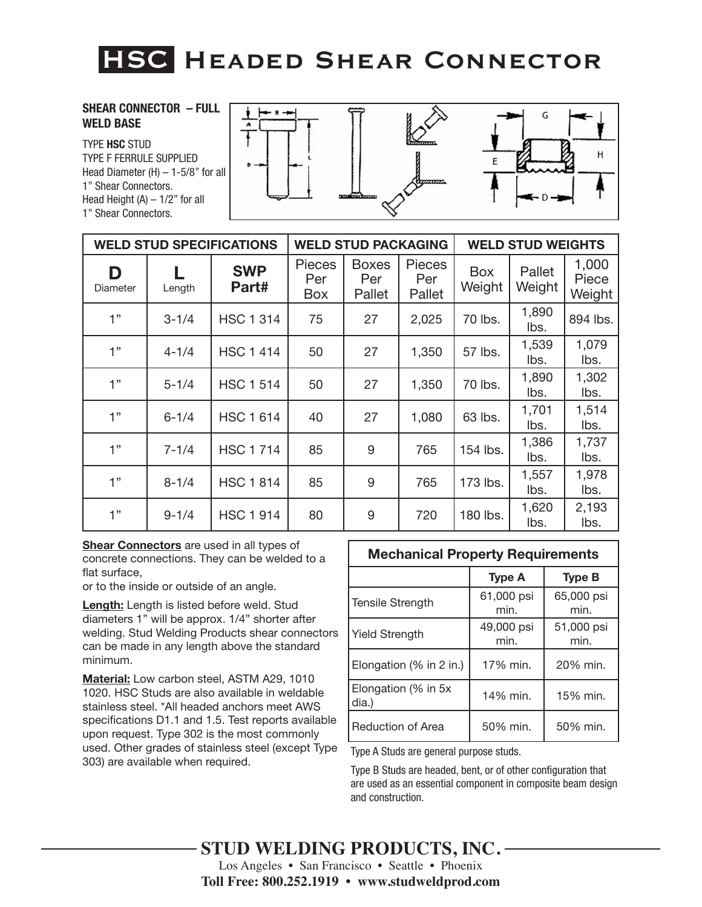# **HSC. Headed Shear Connector**

### **SHEAR CONNECTOR – FULL WELD BASE**

TYPE **HSC** STUD TYPE F FERRULE SUPPLIED Head Diameter  $(H)$  – 1-5/8" for all 1" Shear Connectors. Head Height  $(A) - 1/2$ " for all 1" Shear Connectors.



| <b>WELD STUD SPECIFICATIONS</b> |           |                     | <b>WELD STUD PACKAGING</b>  |                               |                         | <b>WELD STUD WEIGHTS</b> |                  |                          |
|---------------------------------|-----------|---------------------|-----------------------------|-------------------------------|-------------------------|--------------------------|------------------|--------------------------|
| D<br>Diameter                   | Length    | <b>SWP</b><br>Part# | <b>Pieces</b><br>Per<br>Box | <b>Boxes</b><br>Per<br>Pallet | Pieces<br>Per<br>Pallet | Box<br>Weight            | Pallet<br>Weight | 1,000<br>Piece<br>Weight |
| 1"                              | $3 - 1/4$ | <b>HSC 1 314</b>    | 75                          | 27                            | 2,025                   | 70 lbs.                  | 1,890<br>lbs.    | 894 lbs.                 |
| 1"                              | $4 - 1/4$ | <b>HSC 1 414</b>    | 50                          | 27                            | 1,350                   | 57 lbs.                  | 1,539<br>lbs.    | 1,079<br>lbs.            |
| יי 1                            | $5 - 1/4$ | <b>HSC 1 514</b>    | 50                          | 27                            | 1,350                   | 70 lbs.                  | 1,890<br>lbs.    | 1,302<br>lbs.            |
| 1"                              | $6 - 1/4$ | <b>HSC 1 614</b>    | 40                          | 27                            | 1,080                   | 63 lbs.                  | 1,701<br>lbs.    | 1,514<br>lbs.            |
| 1"                              | $7 - 1/4$ | <b>HSC 1714</b>     | 85                          | 9                             | 765                     | 154 lbs.                 | 1,386<br>lbs.    | 1,737<br>lbs.            |
| 1"                              | $8 - 1/4$ | <b>HSC 1 814</b>    | 85                          | 9                             | 765                     | 173 lbs.                 | 1,557<br>lbs.    | 1,978<br>lbs.            |
| 1"                              | $9 - 1/4$ | <b>HSC 1 914</b>    | 80                          | 9                             | 720                     | 180 lbs.                 | 1,620<br>lbs.    | 2,193<br>lbs.            |

**Shear Connectors** are used in all types of concrete connections. They can be welded to a flat surface,

or to the inside or outside of an angle.

**Length:** Length is listed before weld. Stud diameters 1" will be approx. 1/4" shorter after welding. Stud Welding Products shear connectors can be made in any length above the standard minimum.

**Material:** Low carbon steel, ASTM A29, 1010 1020. HSC Studs are also available in weldable stainless steel. \*All headed anchors meet AWS specifications D1.1 and 1.5. Test reports available upon request. Type 302 is the most commonly used. Other grades of stainless steel (except Type 303) are available when required.

|                               | <b>Mechanical Property Requirements</b> |                    |  |  |  |  |  |
|-------------------------------|-----------------------------------------|--------------------|--|--|--|--|--|
|                               | <b>Type A</b>                           | <b>Type B</b>      |  |  |  |  |  |
| <b>Tensile Strength</b>       | 61,000 psi<br>min.                      | 65,000 psi<br>min. |  |  |  |  |  |
| <b>Yield Strength</b>         | 49,000 psi<br>min.                      | 51,000 psi<br>min. |  |  |  |  |  |
| Elongation (% in 2 in.)       | 17% min.                                | 20% min.           |  |  |  |  |  |
| Elongation (% in 5x)<br>dia.) | 14% min.                                | 15% min.           |  |  |  |  |  |
| <b>Reduction of Area</b>      | 50% min.                                | 50% min.           |  |  |  |  |  |

**Mechanical Property Requirements**

Type A Studs are general purpose studs.

Type B Studs are headed, bent, or of other configuration that are used as an essential component in composite beam design and construction.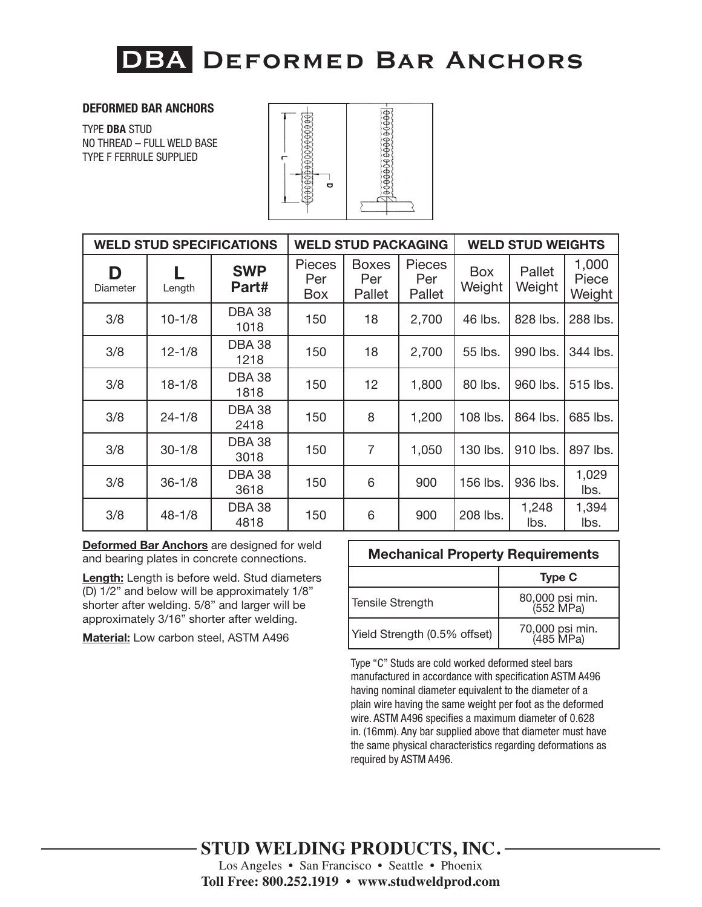### **DEFORMED BAR ANCHORS**

TYPE **DBA** STUD NO THREAD – FULL WELD BASE TYPE F FERRULE SUPPLIED



| <b>WELD STUD SPECIFICATIONS</b> |            |                       | <b>WELD STUD PACKAGING</b>         |                               |                                | <b>WELD STUD WEIGHTS</b> |                  |                          |
|---------------------------------|------------|-----------------------|------------------------------------|-------------------------------|--------------------------------|--------------------------|------------------|--------------------------|
| D<br>Diameter                   | Length     | <b>SWP</b><br>Part#   | <b>Pieces</b><br>Per<br><b>Box</b> | <b>Boxes</b><br>Per<br>Pallet | <b>Pieces</b><br>Per<br>Pallet | <b>Box</b><br>Weight     | Pallet<br>Weight | 1,000<br>Piece<br>Weight |
| 3/8                             | $10 - 1/8$ | <b>DBA 38</b><br>1018 | 150                                | 18                            | 2,700                          | 46 lbs.                  | 828 lbs.         | 288 lbs.                 |
| 3/8                             | $12 - 1/8$ | <b>DBA 38</b><br>1218 | 150                                | 18                            | 2,700                          | 55 lbs.                  | 990 lbs.         | 344 lbs.                 |
| 3/8                             | $18 - 1/8$ | <b>DBA 38</b><br>1818 | 150                                | 12                            | 1,800                          | 80 lbs.                  | 960 lbs.         | 515 lbs.                 |
| 3/8                             | $24 - 1/8$ | <b>DBA 38</b><br>2418 | 150                                | 8                             | 1,200                          | 108 lbs.                 | 864 lbs.         | 685 lbs.                 |
| 3/8                             | $30 - 1/8$ | <b>DBA 38</b><br>3018 | 150                                | $\overline{7}$                | 1,050                          | 130 lbs.                 | 910 lbs.         | 897 lbs.                 |
| 3/8                             | $36 - 1/8$ | <b>DBA 38</b><br>3618 | 150                                | 6                             | 900                            | 156 lbs.                 | 936 lbs.         | 1,029<br>lbs.            |
| 3/8                             | $48 - 1/8$ | <b>DBA 38</b><br>4818 | 150                                | 6                             | 900                            | 208 lbs.                 | 1,248<br>lbs.    | 1,394<br>lbs.            |

**Deformed Bar Anchors** are designed for weld and bearing plates in concrete connections.

**Length:** Length is before weld. Stud diameters (D) 1/2" and below will be approximately 1/8" shorter after welding. 5/8" and larger will be approximately 3/16" shorter after welding.

**Material:** Low carbon steel, ASTM A496

| <b>Mechanical Property Requirements</b> |                              |  |  |  |
|-----------------------------------------|------------------------------|--|--|--|
|                                         | <b>Type C</b>                |  |  |  |
| Tensile Strength                        | 80,000 psi min.<br>(552 MPa) |  |  |  |
| Yield Strength (0.5% offset)            | 70,000 psi min.<br>(485 MPa) |  |  |  |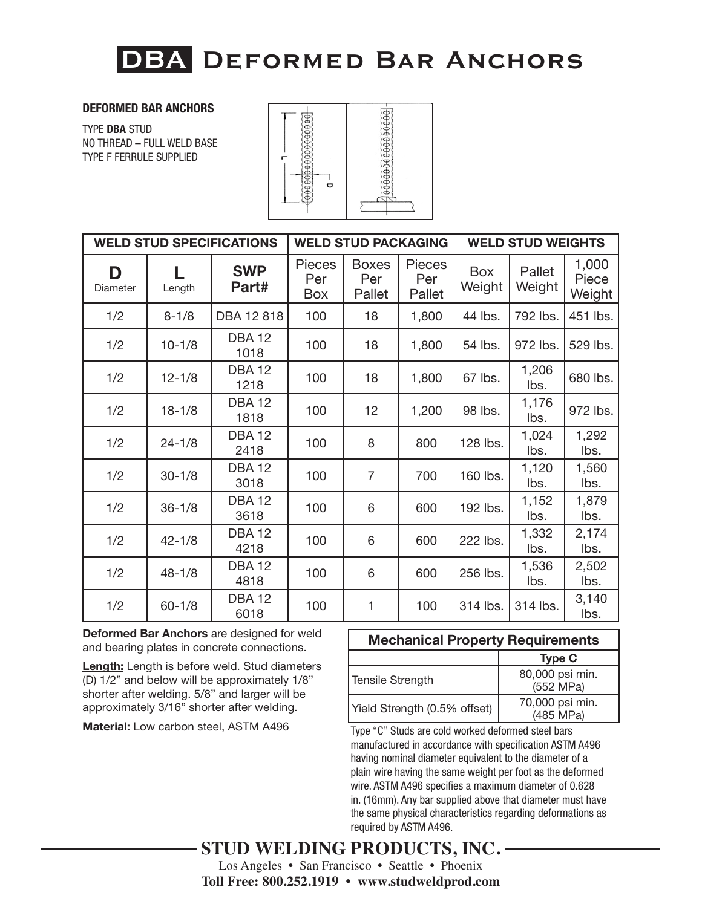### **DEFORMED BAR ANCHORS**

TYPE **DBA** STUD NO THREAD – FULL WELD BASE TYPE F FERRULE SUPPLIED



| <b>WELD STUD SPECIFICATIONS</b> |            |                       | <b>WELD STUD PACKAGING</b>         |                               |                         | <b>WELD STUD WEIGHTS</b> |                  |                          |
|---------------------------------|------------|-----------------------|------------------------------------|-------------------------------|-------------------------|--------------------------|------------------|--------------------------|
| D<br>Diameter                   | Length     | <b>SWP</b><br>Part#   | <b>Pieces</b><br>Per<br><b>Box</b> | <b>Boxes</b><br>Per<br>Pallet | Pieces<br>Per<br>Pallet | <b>Box</b><br>Weight     | Pallet<br>Weight | 1,000<br>Piece<br>Weight |
| 1/2                             | $8 - 1/8$  | DBA 12 818            | 100                                | 18                            | 1,800                   | 44 lbs.                  | 792 lbs.         | 451 lbs.                 |
| 1/2                             | $10 - 1/8$ | <b>DBA12</b><br>1018  | 100                                | 18                            | 1,800                   | 54 lbs.                  | 972 lbs.         | 529 lbs.                 |
| 1/2                             | $12 - 1/8$ | <b>DBA 12</b><br>1218 | 100                                | 18                            | 1,800                   | 67 lbs.                  | 1,206<br>lbs.    | 680 lbs.                 |
| 1/2                             | $18 - 1/8$ | <b>DBA 12</b><br>1818 | 100                                | 12                            | 1,200                   | 98 lbs.                  | 1,176<br>lbs.    | 972 lbs.                 |
| 1/2                             | $24 - 1/8$ | <b>DBA 12</b><br>2418 | 100                                | 8                             | 800                     | 128 lbs.                 | 1,024<br>lbs.    | 1,292<br>lbs.            |
| 1/2                             | $30 - 1/8$ | <b>DBA 12</b><br>3018 | 100                                | $\overline{7}$                | 700                     | 160 lbs.                 | 1,120<br>lbs.    | 1,560<br>lbs.            |
| 1/2                             | $36 - 1/8$ | <b>DBA 12</b><br>3618 | 100                                | 6                             | 600                     | 192 lbs.                 | 1,152<br>lbs.    | 1,879<br>lbs.            |
| 1/2                             | $42 - 1/8$ | <b>DBA 12</b><br>4218 | 100                                | 6                             | 600                     | 222 lbs.                 | 1,332<br>lbs.    | 2,174<br>lbs.            |
| 1/2                             | $48 - 1/8$ | <b>DBA 12</b><br>4818 | 100                                | 6                             | 600                     | 256 lbs.                 | 1,536<br>lbs.    | 2,502<br>lbs.            |
| 1/2                             | $60 - 1/8$ | <b>DBA 12</b><br>6018 | 100                                | 1                             | 100                     | 314 lbs.                 | 314 lbs.         | 3,140<br>lbs.            |

**Deformed Bar Anchors** are designed for weld and bearing plates in concrete connections.

**Length:** Length is before weld. Stud diameters (D) 1/2" and below will be approximately 1/8" shorter after welding. 5/8" and larger will be approximately 3/16" shorter after welding.

**Material:** Low carbon steel, ASTM A496

### **Mechanical Property Requirements Type C** Tensile Strength 80,000 psi min. (552 MPa) Yield Strength  $(0.5\% \text{ offset})$  70,000 psi min. (485 MPa)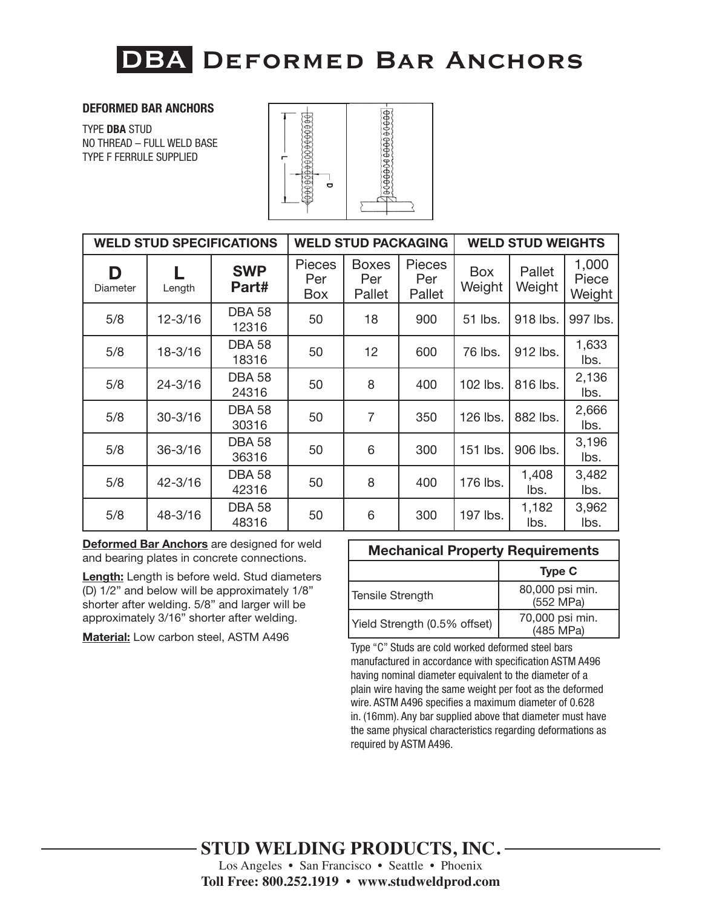### **DEFORMED BAR ANCHORS**

TYPE **DBA** STUD NO THREAD – FULL WELD BASE TYPE F FERRULE SUPPLIED



| <b>WELD STUD SPECIFICATIONS</b> |             |                        | <b>WELD STUD PACKAGING</b>         |                               |                         | <b>WELD STUD WEIGHTS</b> |                  |                          |
|---------------------------------|-------------|------------------------|------------------------------------|-------------------------------|-------------------------|--------------------------|------------------|--------------------------|
| D<br>Diameter                   | Length      | <b>SWP</b><br>Part#    | <b>Pieces</b><br>Per<br><b>Box</b> | <b>Boxes</b><br>Per<br>Pallet | Pieces<br>Per<br>Pallet | <b>Box</b><br>Weight     | Pallet<br>Weight | 1,000<br>Piece<br>Weight |
| 5/8                             | $12 - 3/16$ | <b>DBA 58</b><br>12316 | 50                                 | 18                            | 900                     | 51 lbs.                  | 918 lbs.         | 997 lbs.                 |
| 5/8                             | $18 - 3/16$ | <b>DBA 58</b><br>18316 | 50                                 | 12                            | 600                     | 76 lbs.                  | 912 lbs.         | 1,633<br>lbs.            |
| 5/8                             | $24 - 3/16$ | <b>DBA 58</b><br>24316 | 50                                 | 8                             | 400                     | 102 lbs.                 | 816 lbs.         | 2,136<br>lbs.            |
| 5/8                             | $30 - 3/16$ | <b>DBA 58</b><br>30316 | 50                                 | $\overline{7}$                | 350                     | 126 lbs.                 | 882 lbs.         | 2,666<br>lbs.            |
| 5/8                             | $36 - 3/16$ | <b>DBA 58</b><br>36316 | 50                                 | 6                             | 300                     | 151 lbs.                 | 906 lbs.         | 3,196<br>lbs.            |
| 5/8                             | $42 - 3/16$ | <b>DBA 58</b><br>42316 | 50                                 | 8                             | 400                     | 176 lbs.                 | 1,408<br>lbs.    | 3,482<br>lbs.            |
| 5/8                             | 48-3/16     | <b>DBA 58</b><br>48316 | 50                                 | 6                             | 300                     | 197 lbs.                 | 1,182<br>lbs.    | 3,962<br>lbs.            |

**Deformed Bar Anchors** are designed for weld and bearing plates in concrete connections.

**Length:** Length is before weld. Stud diameters (D) 1/2" and below will be approximately 1/8" shorter after welding. 5/8" and larger will be approximately 3/16" shorter after welding.

**Material:** Low carbon steel, ASTM A496

| <b>Mechanical Property Requirements</b> |  |
|-----------------------------------------|--|
|-----------------------------------------|--|

|                              | <b>Type C</b>                |
|------------------------------|------------------------------|
| <b>Tensile Strength</b>      | 80,000 psi min.<br>(552 MPa) |
| Yield Strength (0.5% offset) | 70,000 psi min.<br>(485 MPa) |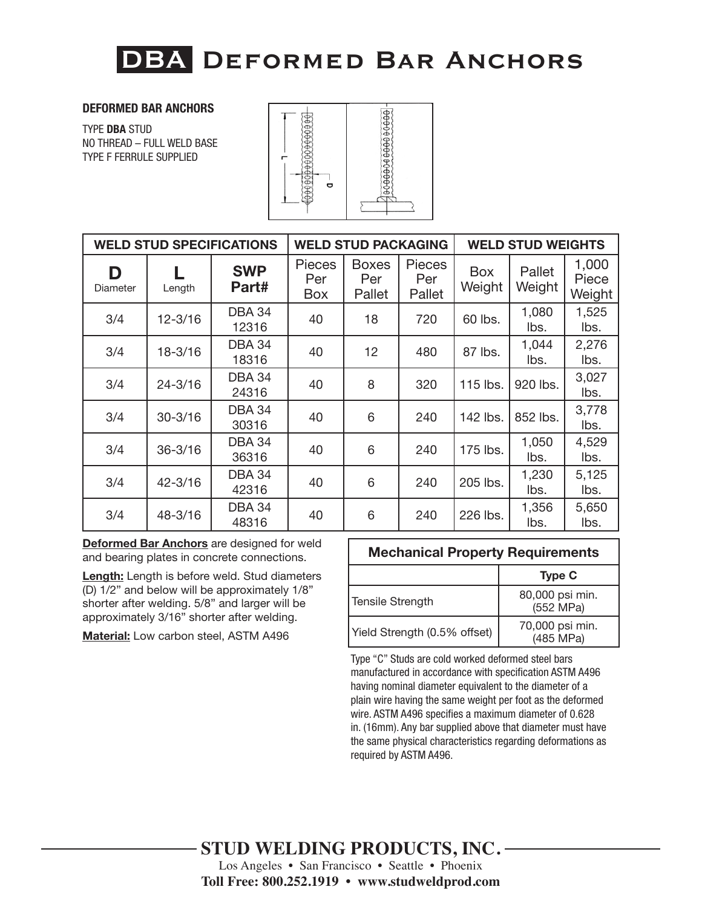### **DEFORMED BAR ANCHORS**

TYPE **DBA** STUD NO THREAD – FULL WELD BASE TYPE F FERRULE SUPPLIED



| <b>WELD STUD SPECIFICATIONS</b> |             |                        | <b>WELD STUD PACKAGING</b>  |                               |                         | <b>WELD STUD WEIGHTS</b> |                  |                          |
|---------------------------------|-------------|------------------------|-----------------------------|-------------------------------|-------------------------|--------------------------|------------------|--------------------------|
| D<br>Diameter                   | Length      | <b>SWP</b><br>Part#    | <b>Pieces</b><br>Per<br>Box | <b>Boxes</b><br>Per<br>Pallet | Pieces<br>Per<br>Pallet | <b>Box</b><br>Weight     | Pallet<br>Weight | 1,000<br>Piece<br>Weight |
| 3/4                             | $12 - 3/16$ | <b>DBA 34</b><br>12316 | 40                          | 18                            | 720                     | 60 lbs.                  | 1,080<br>lbs.    | 1,525<br>lbs.            |
| 3/4                             | $18 - 3/16$ | <b>DBA 34</b><br>18316 | 40                          | 12                            | 480                     | 87 lbs.                  | 1,044<br>lbs.    | 2,276<br>lbs.            |
| 3/4                             | $24 - 3/16$ | <b>DBA 34</b><br>24316 | 40                          | 8                             | 320                     | 115 lbs.                 | 920 lbs.         | 3,027<br>lbs.            |
| 3/4                             | $30 - 3/16$ | <b>DBA 34</b><br>30316 | 40                          | 6                             | 240                     | 142 lbs.                 | 852 lbs.         | 3,778<br>lbs.            |
| 3/4                             | $36 - 3/16$ | <b>DBA 34</b><br>36316 | 40                          | 6                             | 240                     | 175 lbs.                 | 1,050<br>lbs.    | 4,529<br>lbs.            |
| 3/4                             | $42 - 3/16$ | <b>DBA 34</b><br>42316 | 40                          | 6                             | 240                     | 205 lbs.                 | 1,230<br>lbs.    | 5,125<br>lbs.            |
| 3/4                             | 48-3/16     | <b>DBA 34</b><br>48316 | 40                          | 6                             | 240                     | 226 lbs.                 | 1,356<br>lbs.    | 5,650<br>lbs.            |

**Deformed Bar Anchors** are designed for weld and bearing plates in concrete connections.

**Length:** Length is before weld. Stud diameters (D) 1/2" and below will be approximately 1/8" shorter after welding. 5/8" and larger will be approximately 3/16" shorter after welding.

**Material:** Low carbon steel, ASTM A496

| <b>Mechanical Property Requirements</b> |                              |  |  |  |
|-----------------------------------------|------------------------------|--|--|--|
|                                         | <b>Type C</b>                |  |  |  |
| Tensile Strength                        | 80,000 psi min.<br>(552 MPa) |  |  |  |
| Yield Strength (0.5% offset)            | 70,000 psi min.<br>(485 MPa) |  |  |  |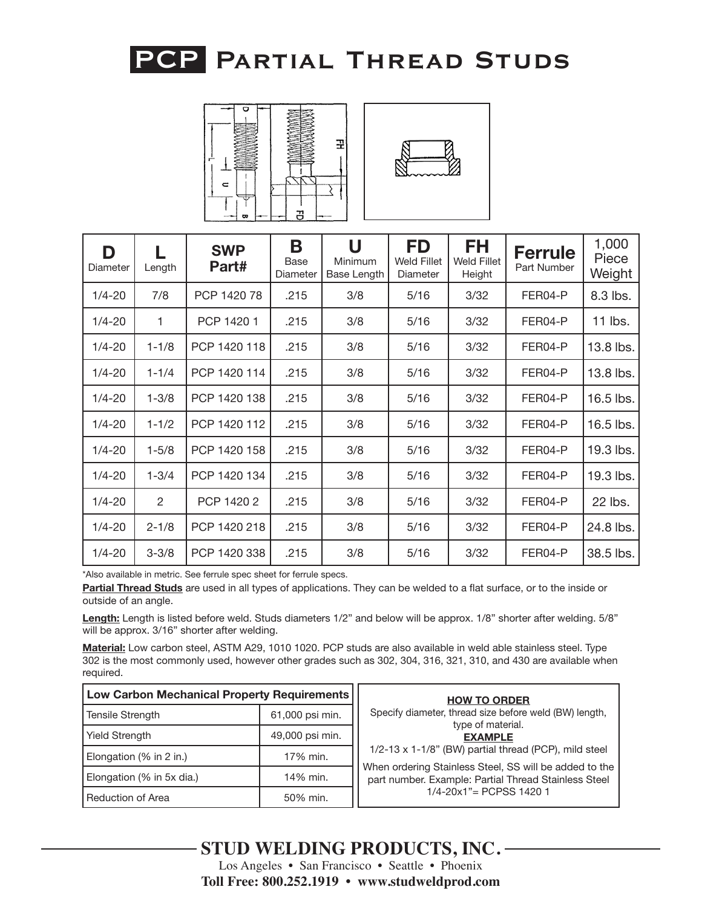



| D<br>Diameter | Length         | <b>SWP</b><br>Part# | B<br>Base<br>Diameter | U<br>Minimum<br>Base Length | <b>FD</b><br><b>Weld Fillet</b><br>Diameter | <b>FH</b><br><b>Weld Fillet</b><br>Height | <b>Ferrule</b><br>Part Number | 1,000<br>Piece<br>Weight |
|---------------|----------------|---------------------|-----------------------|-----------------------------|---------------------------------------------|-------------------------------------------|-------------------------------|--------------------------|
| $1/4 - 20$    | 7/8            | PCP 1420 78         | .215                  | 3/8                         | 5/16                                        | 3/32                                      | FER04-P                       | 8.3 lbs.                 |
| $1/4 - 20$    | 1              | PCP 1420 1          | .215                  | 3/8                         | 5/16                                        | 3/32                                      | FER04-P                       | 11 lbs.                  |
| $1/4 - 20$    | $1 - 1/8$      | PCP 1420 118        | .215                  | 3/8                         | 5/16                                        | 3/32                                      | FER04-P                       | 13.8 lbs.                |
| $1/4 - 20$    | $1 - 1/4$      | PCP 1420 114        | .215                  | 3/8                         | 5/16                                        | 3/32                                      | FER04-P                       | 13.8 lbs.                |
| $1/4 - 20$    | $1 - 3/8$      | PCP 1420 138        | .215                  | 3/8                         | 5/16                                        | 3/32                                      | FER04-P                       | 16.5 lbs.                |
| $1/4 - 20$    | $1 - 1/2$      | PCP 1420 112        | .215                  | 3/8                         | 5/16                                        | 3/32                                      | FER04-P                       | 16.5 lbs.                |
| $1/4 - 20$    | $1 - 5/8$      | PCP 1420 158        | .215                  | 3/8                         | 5/16                                        | 3/32                                      | FER04-P                       | 19.3 lbs.                |
| $1/4 - 20$    | $1 - 3/4$      | PCP 1420 134        | .215                  | 3/8                         | 5/16                                        | 3/32                                      | FER04-P                       | 19.3 lbs.                |
| $1/4 - 20$    | $\overline{2}$ | PCP 1420 2          | .215                  | 3/8                         | 5/16                                        | 3/32                                      | FER04-P                       | 22 lbs.                  |
| $1/4 - 20$    | $2 - 1/8$      | PCP 1420 218        | .215                  | 3/8                         | 5/16                                        | 3/32                                      | FER04-P                       | 24.8 lbs.                |
| $1/4 - 20$    | $3 - 3/8$      | PCP 1420 338        | .215                  | 3/8                         | 5/16                                        | 3/32                                      | FER04-P                       | 38.5 lbs.                |

\*Also available in metric. See ferrule spec sheet for ferrule specs.

**Partial Thread Studs** are used in all types of applications. They can be welded to a flat surface, or to the inside or outside of an angle.

**Length:** Length is listed before weld. Studs diameters 1/2" and below will be approx. 1/8" shorter after welding. 5/8" will be approx. 3/16" shorter after welding.

| Low Carbon Mechanical Property Requirements |          | <b>HOW TO ORDER</b>                                                                                            |
|---------------------------------------------|----------|----------------------------------------------------------------------------------------------------------------|
| 61,000 psi min.<br>Tensile Strength         |          | Specify diameter, thread size before weld (BW) length,<br>type of material.                                    |
| 49,000 psi min.<br>Yield Strength           |          | <b>EXAMPLE</b>                                                                                                 |
| Elongation (% in 2 in.)                     | 17% min. | $1/2-13 \times 1-1/8$ " (BW) partial thread (PCP), mild steel                                                  |
| Elongation (% in 5x dia.)                   | 14% min. | When ordering Stainless Steel, SS will be added to the<br>part number. Example: Partial Thread Stainless Steel |
| <b>Reduction of Area</b>                    | 50% min. | $1/4 - 20x1$ " = PCPSS 1420 1                                                                                  |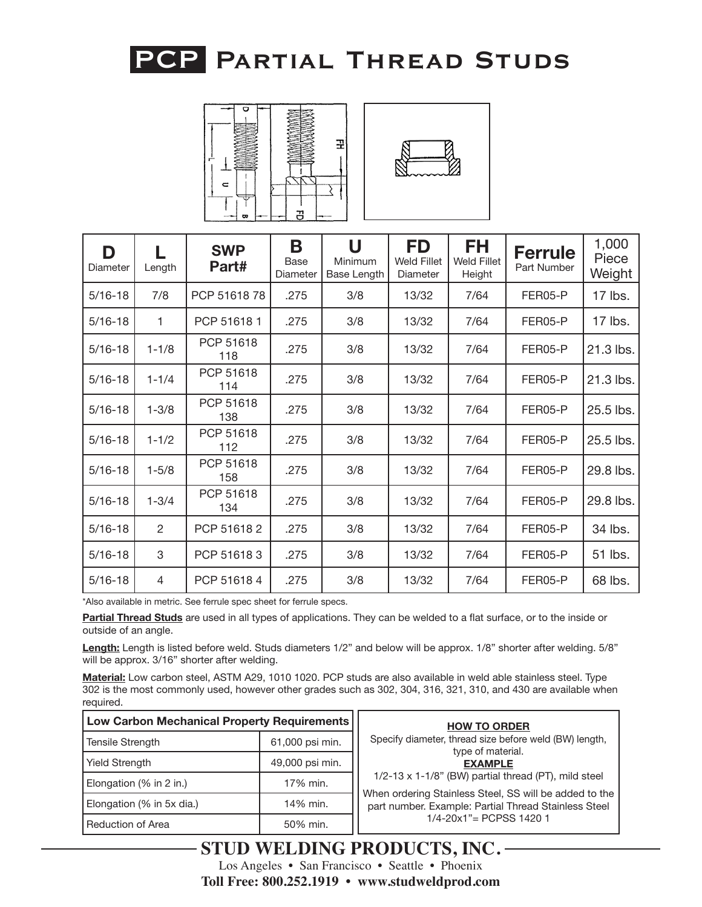



| D<br>Diameter | Length    | <b>SWP</b><br>Part# | B<br>Base<br>Diameter | U<br>Minimum<br>Base Length | FD<br><b>Weld Fillet</b><br>Diameter | <b>FH</b><br><b>Weld Fillet</b><br>Height | <b>Ferrule</b><br>Part Number | 1,000<br>Piece<br>Weight |
|---------------|-----------|---------------------|-----------------------|-----------------------------|--------------------------------------|-------------------------------------------|-------------------------------|--------------------------|
| $5/16 - 18$   | 7/8       | PCP 5161878         | .275                  | 3/8                         | 13/32                                | 7/64                                      | FER05-P                       | 17 lbs.                  |
| $5/16 - 18$   | 1         | PCP 516181          | .275                  | 3/8                         | 13/32                                | 7/64                                      | FER05-P                       | 17 lbs.                  |
| $5/16 - 18$   | $1 - 1/8$ | PCP 51618<br>118    | .275                  | 3/8                         | 13/32                                | 7/64                                      | FER05-P                       | 21.3 lbs.                |
| $5/16 - 18$   | $1 - 1/4$ | PCP 51618<br>114    | .275                  | 3/8                         | 13/32                                | 7/64                                      | FER05-P                       | 21.3 lbs.                |
| $5/16 - 18$   | $1 - 3/8$ | PCP 51618<br>138    | .275                  | 3/8                         | 13/32                                | 7/64                                      | FER05-P                       | 25.5 lbs.                |
| $5/16 - 18$   | $1 - 1/2$ | PCP 51618<br>112    | .275                  | 3/8                         | 13/32                                | 7/64                                      | FER05-P                       | 25.5 lbs.                |
| $5/16 - 18$   | $1 - 5/8$ | PCP 51618<br>158    | .275                  | 3/8                         | 13/32                                | 7/64                                      | FER05-P                       | 29.8 lbs.                |
| $5/16 - 18$   | $1 - 3/4$ | PCP 51618<br>134    | .275                  | 3/8                         | 13/32                                | 7/64                                      | FER05-P                       | 29.8 lbs.                |
| $5/16 - 18$   | 2         | PCP 516182          | .275                  | 3/8                         | 13/32                                | 7/64                                      | FER05-P                       | 34 lbs.                  |
| $5/16 - 18$   | 3         | PCP 516183          | .275                  | 3/8                         | 13/32                                | 7/64                                      | FER05-P                       | 51 lbs.                  |
| $5/16 - 18$   | 4         | PCP 516184          | .275                  | 3/8                         | 13/32                                | 7/64                                      | FER05-P                       | 68 lbs.                  |

\*Also available in metric. See ferrule spec sheet for ferrule specs.

**Partial Thread Studs** are used in all types of applications. They can be welded to a flat surface, or to the inside or outside of an angle.

**Length:** Length is listed before weld. Studs diameters 1/2" and below will be approx. 1/8" shorter after welding. 5/8" will be approx. 3/16" shorter after welding.

| Low Carbon Mechanical Property Requirements |                 | <b>HOW TO ORDER</b>                                                                                            |
|---------------------------------------------|-----------------|----------------------------------------------------------------------------------------------------------------|
| <b>Tensile Strength</b>                     | 61,000 psi min. | Specify diameter, thread size before weld (BW) length,<br>type of material.                                    |
| 49,000 psi min.<br><b>Yield Strength</b>    |                 | <b>EXAMPLE</b>                                                                                                 |
| Elongation (% in 2 in.)                     | 17% min.        | 1/2-13 x 1-1/8" (BW) partial thread (PT), mild steel                                                           |
| Elongation (% in 5x dia.)                   | 14% min.        | When ordering Stainless Steel, SS will be added to the<br>part number. Example: Partial Thread Stainless Steel |
| <b>Reduction of Area</b>                    | 50% min.        | $1/4 - 20x1$ " = PCPSS 1420 1                                                                                  |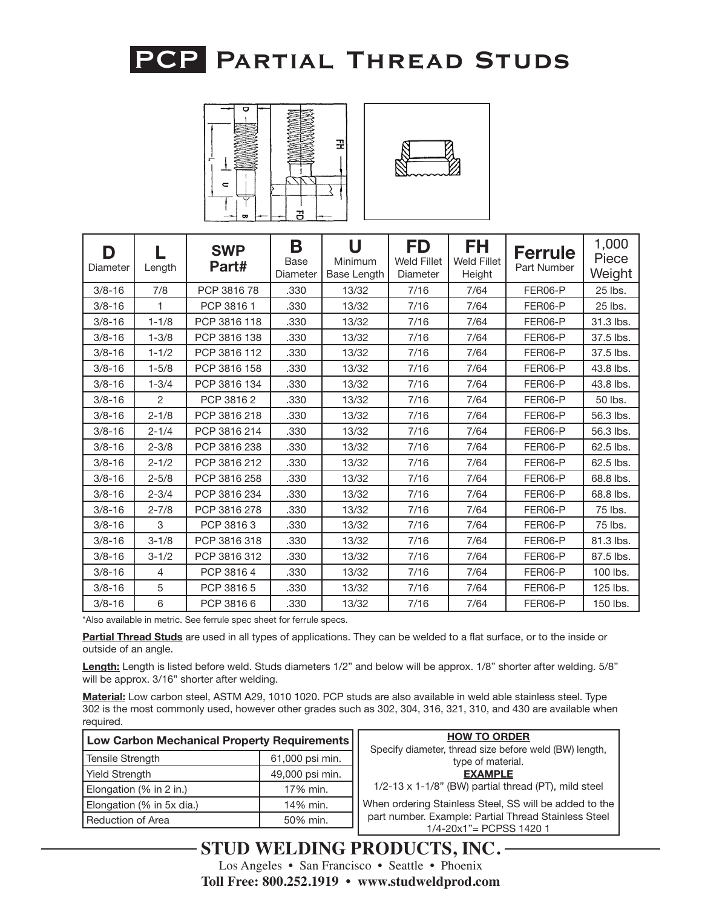



| D<br>Diameter | Length         | <b>SWP</b><br>Part# | B<br>Base<br>Diameter | U<br>Minimum<br>Base Length | FD<br><b>Weld Fillet</b><br>Diameter | FH.<br><b>Weld Fillet</b><br>Height | <b>Ferrule</b><br>Part Number | 1,000<br>Piece<br>Weight |
|---------------|----------------|---------------------|-----------------------|-----------------------------|--------------------------------------|-------------------------------------|-------------------------------|--------------------------|
| $3/8 - 16$    | 7/8            | PCP 3816 78         | .330                  | 13/32                       | 7/16                                 | 7/64                                | FER06-P                       | 25 lbs.                  |
| $3/8 - 16$    | 1              | PCP 3816 1          | .330                  | 13/32                       | 7/16                                 | 7/64                                | FER06-P                       | 25 lbs.                  |
| $3/8 - 16$    | $1 - 1/8$      | PCP 3816 118        | .330                  | 13/32                       | 7/16                                 | 7/64                                | FER06-P                       | 31.3 lbs.                |
| $3/8 - 16$    | $1 - 3/8$      | PCP 3816 138        | .330                  | 13/32                       | 7/16                                 | 7/64                                | FER06-P                       | 37.5 lbs.                |
| $3/8 - 16$    | $1 - 1/2$      | PCP 3816 112        | .330                  | 13/32                       | 7/16                                 | 7/64                                | FER06-P                       | 37.5 lbs.                |
| $3/8 - 16$    | $1 - 5/8$      | PCP 3816 158        | .330                  | 13/32                       | 7/16                                 | 7/64                                | FER06-P                       | 43.8 lbs.                |
| $3/8 - 16$    | $1 - 3/4$      | PCP 3816 134        | .330                  | 13/32                       | 7/16                                 | 7/64                                | FER06-P                       | 43.8 lbs.                |
| $3/8 - 16$    | $\overline{2}$ | PCP 38162           | .330                  | 13/32                       | 7/16                                 | 7/64                                | FER06-P                       | 50 lbs.                  |
| $3/8 - 16$    | $2 - 1/8$      | PCP 3816 218        | .330                  | 13/32                       | 7/16                                 | 7/64                                | FER06-P                       | 56.3 lbs.                |
| $3/8 - 16$    | $2 - 1/4$      | PCP 3816 214        | .330                  | 13/32                       | 7/16                                 | 7/64                                | FER06-P                       | 56.3 lbs.                |
| $3/8 - 16$    | $2 - 3/8$      | PCP 3816 238        | .330                  | 13/32                       | 7/16                                 | 7/64                                | FER06-P                       | 62.5 lbs.                |
| $3/8 - 16$    | $2 - 1/2$      | PCP 3816 212        | .330                  | 13/32                       | 7/16                                 | 7/64                                | FER06-P                       | 62.5 lbs.                |
| $3/8 - 16$    | $2 - 5/8$      | PCP 3816 258        | .330                  | 13/32                       | 7/16                                 | 7/64                                | FER06-P                       | 68.8 lbs.                |
| $3/8 - 16$    | $2 - 3/4$      | PCP 3816 234        | .330                  | 13/32                       | 7/16                                 | 7/64                                | FER06-P                       | 68.8 lbs.                |
| $3/8 - 16$    | $2 - 7/8$      | PCP 3816 278        | .330                  | 13/32                       | 7/16                                 | 7/64                                | FER06-P                       | 75 lbs.                  |
| $3/8 - 16$    | 3              | PCP 38163           | .330                  | 13/32                       | 7/16                                 | 7/64                                | FER06-P                       | 75 lbs.                  |
| $3/8 - 16$    | $3 - 1/8$      | PCP 3816 318        | .330                  | 13/32                       | 7/16                                 | 7/64                                | FER06-P                       | 81.3 lbs.                |
| $3/8 - 16$    | $3 - 1/2$      | PCP 3816 312        | .330                  | 13/32                       | 7/16                                 | 7/64                                | FER06-P                       | 87.5 lbs.                |
| $3/8 - 16$    | 4              | PCP 38164           | .330                  | 13/32                       | 7/16                                 | 7/64                                | FER06-P                       | 100 lbs.                 |
| $3/8 - 16$    | 5              | PCP 3816 5          | .330                  | 13/32                       | 7/16                                 | 7/64                                | FER06-P                       | 125 lbs.                 |
| $3/8 - 16$    | 6              | PCP 38166           | .330                  | 13/32                       | 7/16                                 | 7/64                                | FER06-P                       | 150 lbs.                 |

\*Also available in metric. See ferrule spec sheet for ferrule specs.

**Partial Thread Studs** are used in all types of applications. They can be welded to a flat surface, or to the inside or outside of an angle.

**Length:** Length is listed before weld. Studs diameters 1/2" and below will be approx. 1/8" shorter after welding. 5/8" will be approx. 3/16" shorter after welding.

**Material:** Low carbon steel, ASTM A29, 1010 1020. PCP studs are also available in weld able stainless steel. Type 302 is the most commonly used, however other grades such as 302, 304, 316, 321, 310, and 430 are available when required.

| <b>Low Carbon Mechanical Property Requirements</b> |                 |  |  |  |  |
|----------------------------------------------------|-----------------|--|--|--|--|
| Tensile Strength                                   | 61,000 psi min. |  |  |  |  |
| Yield Strength                                     | 49,000 psi min. |  |  |  |  |
| Elongation (% in 2 in.)                            | 17% min.        |  |  |  |  |
| Elongation (% in 5x dia.)                          | 14% min.        |  |  |  |  |
| l Reduction of Area                                | 50% min.        |  |  |  |  |

| ts | <b>HOW TO ORDER</b>                                    |
|----|--------------------------------------------------------|
|    | Specify diameter, thread size before weld (BW) length, |
|    | type of material.                                      |
|    | <b>EXAMPLE</b>                                         |
|    | 1/2-13 x 1-1/8" (BW) partial thread (PT), mild steel   |
|    | When ordering Stainless Steel, SS will be added to the |
|    | part number. Example: Partial Thread Stainless Steel   |
|    | 1/4-20x1"= PCPSS 1420 1                                |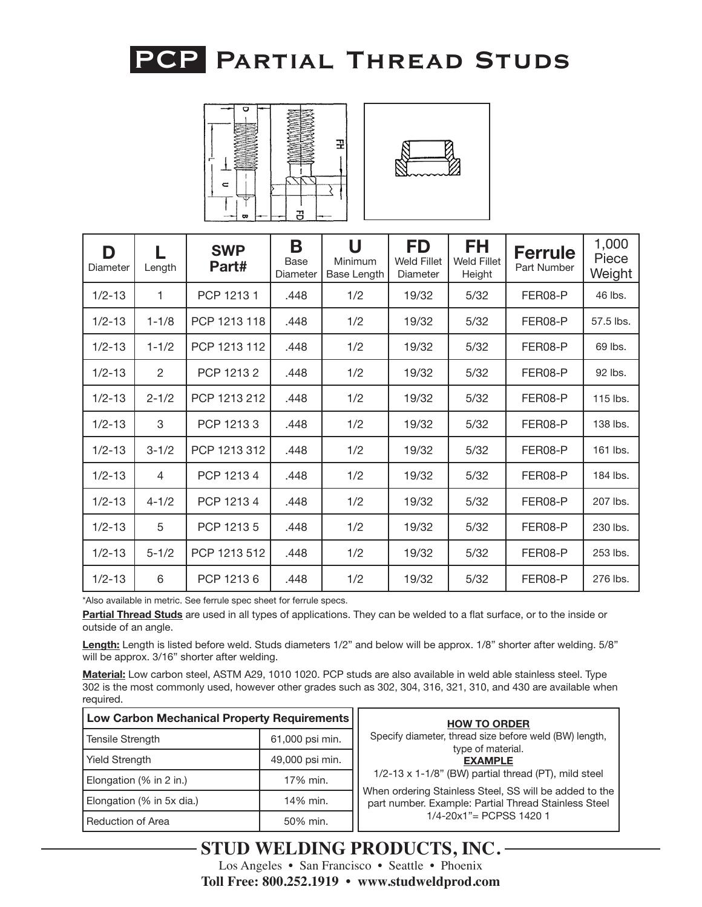



| D<br>Diameter | Length         | <b>SWP</b><br>Part# | B<br>Base<br>Diameter | U<br>Minimum<br>Base Length | FD<br><b>Weld Fillet</b><br>Diameter | <b>FH</b><br><b>Weld Fillet</b><br>Height | <b>Ferrule</b><br>Part Number | 1,000<br>Piece<br>Weight |
|---------------|----------------|---------------------|-----------------------|-----------------------------|--------------------------------------|-------------------------------------------|-------------------------------|--------------------------|
| $1/2 - 13$    | 1              | PCP 12131           | .448                  | 1/2                         | 19/32                                | 5/32                                      | FER08-P                       | 46 lbs.                  |
| $1/2 - 13$    | $1 - 1/8$      | PCP 1213 118        | .448                  | 1/2                         | 19/32                                | 5/32                                      | FER08-P                       | 57.5 lbs.                |
| $1/2 - 13$    | $1 - 1/2$      | PCP 1213 112        | .448                  | 1/2                         | 19/32                                | 5/32                                      | FER08-P                       | 69 lbs.                  |
| $1/2 - 13$    | $\overline{2}$ | PCP 12132           | .448                  | 1/2                         | 19/32                                | 5/32                                      | FER08-P                       | 92 lbs.                  |
| $1/2 - 13$    | $2 - 1/2$      | PCP 1213 212        | .448                  | 1/2                         | 19/32                                | 5/32                                      | FER08-P                       | 115 lbs.                 |
| $1/2 - 13$    | 3              | PCP 12133           | .448                  | 1/2                         | 19/32                                | $5/32$                                    | FER08-P                       | 138 lbs.                 |
| $1/2 - 13$    | $3 - 1/2$      | PCP 1213 312        | .448                  | 1/2                         | 19/32                                | 5/32                                      | FER08-P                       | 161 lbs.                 |
| $1/2 - 13$    | 4              | PCP 12134           | .448                  | 1/2                         | 19/32                                | 5/32                                      | FER08-P                       | 184 lbs.                 |
| $1/2 - 13$    | $4 - 1/2$      | PCP 12134           | .448                  | 1/2                         | 19/32                                | 5/32                                      | FER08-P                       | 207 lbs.                 |
| $1/2 - 13$    | 5              | PCP 1213 5          | .448                  | 1/2                         | 19/32                                | 5/32                                      | FER08-P                       | 230 lbs.                 |
| $1/2 - 13$    | $5 - 1/2$      | PCP 1213 512        | .448                  | 1/2                         | 19/32                                | 5/32                                      | FER08-P                       | 253 lbs.                 |
| $1/2 - 13$    | 6              | PCP 12136           | .448                  | 1/2                         | 19/32                                | 5/32                                      | FER08-P                       | 276 lbs.                 |

\*Also available in metric. See ferrule spec sheet for ferrule specs.

**Partial Thread Studs** are used in all types of applications. They can be welded to a flat surface, or to the inside or outside of an angle.

**Length:** Length is listed before weld. Studs diameters 1/2" and below will be approx. 1/8" shorter after welding. 5/8" will be approx. 3/16" shorter after welding.

| <b>Low Carbon Mechanical Property Requirements</b> |                 | <b>HOW TO ORDER</b>                                                                                            |
|----------------------------------------------------|-----------------|----------------------------------------------------------------------------------------------------------------|
| Tensile Strength                                   | 61,000 psi min. | Specify diameter, thread size before weld (BW) length,<br>type of material.                                    |
| 49,000 psi min.<br><b>Yield Strength</b>           |                 | <b>EXAMPLE</b>                                                                                                 |
| Elongation (% in 2 in.)                            | 17% min.        | 1/2-13 x 1-1/8" (BW) partial thread (PT), mild steel                                                           |
| Elongation (% in 5x dia.)                          | 14% min.        | When ordering Stainless Steel, SS will be added to the<br>part number. Example: Partial Thread Stainless Steel |
| <b>Reduction of Area</b>                           | 50% min.        | $1/4 - 20x1$ " = PCPSS 1420 1                                                                                  |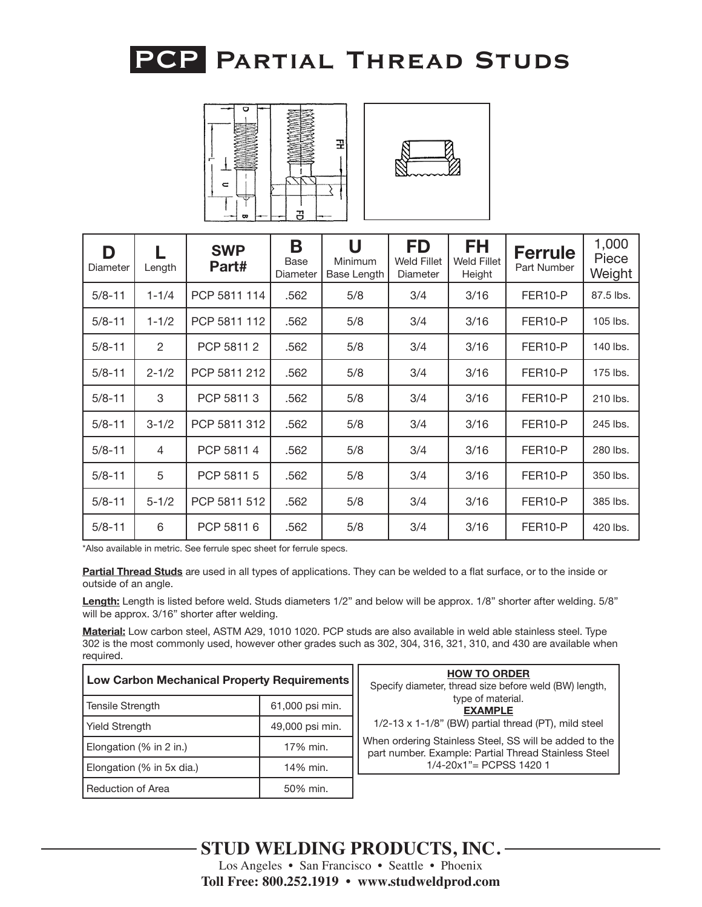



| D<br>Diameter | Length    | <b>SWP</b><br>Part# | B<br>Base<br>Diameter | U<br>Minimum<br>Base Length | <b>FD</b><br><b>Weld Fillet</b><br>Diameter | FH<br><b>Weld Fillet</b><br>Height | <b>Ferrule</b><br>Part Number | 1,000<br>Piece<br>Weight |
|---------------|-----------|---------------------|-----------------------|-----------------------------|---------------------------------------------|------------------------------------|-------------------------------|--------------------------|
| $5/8 - 11$    | $1 - 1/4$ | PCP 5811 114        | .562                  | 5/8                         | 3/4                                         | 3/16                               | FER <sub>10-P</sub>           | 87.5 lbs.                |
| $5/8 - 11$    | $1 - 1/2$ | PCP 5811 112        | .562                  | 5/8                         | 3/4                                         | 3/16                               | FER <sub>10-P</sub>           | 105 lbs.                 |
| $5/8 - 11$    | 2         | PCP 58112           | .562                  | 5/8                         | 3/4                                         | 3/16                               | FER <sub>10-P</sub>           | 140 lbs.                 |
| $5/8 - 11$    | $2 - 1/2$ | PCP 5811 212        | .562                  | 5/8                         | 3/4                                         | 3/16                               | FER <sub>10-P</sub>           | 175 lbs.                 |
| $5/8 - 11$    | 3         | PCP 58113           | .562                  | 5/8                         | 3/4                                         | 3/16                               | FER10-P                       | 210 lbs.                 |
| $5/8 - 11$    | $3 - 1/2$ | PCP 5811 312        | .562                  | 5/8                         | 3/4                                         | 3/16                               | FER10-P                       | 245 lbs.                 |
| $5/8 - 11$    | 4         | PCP 58114           | .562                  | 5/8                         | 3/4                                         | 3/16                               | FER <sub>10-P</sub>           | 280 lbs.                 |
| $5/8 - 11$    | 5         | PCP 5811 5          | .562                  | 5/8                         | 3/4                                         | 3/16                               | FER <sub>10-P</sub>           | 350 lbs.                 |
| $5/8 - 11$    | $5 - 1/2$ | PCP 5811 512        | .562                  | 5/8                         | 3/4                                         | 3/16                               | FER <sub>10-P</sub>           | 385 lbs.                 |
| $5/8 - 11$    | 6         | PCP 5811 6          | .562                  | 5/8                         | 3/4                                         | 3/16                               | FER <sub>10-P</sub>           | 420 lbs.                 |

\*Also available in metric. See ferrule spec sheet for ferrule specs.

**Partial Thread Studs** are used in all types of applications. They can be welded to a flat surface, or to the inside or outside of an angle.

**Length:** Length is listed before weld. Studs diameters 1/2" and below will be approx. 1/8" shorter after welding. 5/8" will be approx. 3/16" shorter after welding.

| Low Carbon Mechanical Property Requirements |                 | <b>HOW TO ORDER</b><br>Specify diameter, thread size before weld (BW) length,                                  |
|---------------------------------------------|-----------------|----------------------------------------------------------------------------------------------------------------|
| Tensile Strength                            | 61,000 psi min. | type of material.<br><b>EXAMPLE</b>                                                                            |
| <b>Yield Strength</b>                       | 49,000 psi min. | 1/2-13 x 1-1/8" (BW) partial thread (PT), mild steel                                                           |
| Elongation (% in 2 in.)                     | 17% min.        | When ordering Stainless Steel, SS will be added to the<br>part number. Example: Partial Thread Stainless Steel |
| Elongation (% in 5x dia.)                   | 14% min.        | $1/4 - 20x1" = PCPSS 14201$                                                                                    |
| Reduction of Area                           | 50% min.        |                                                                                                                |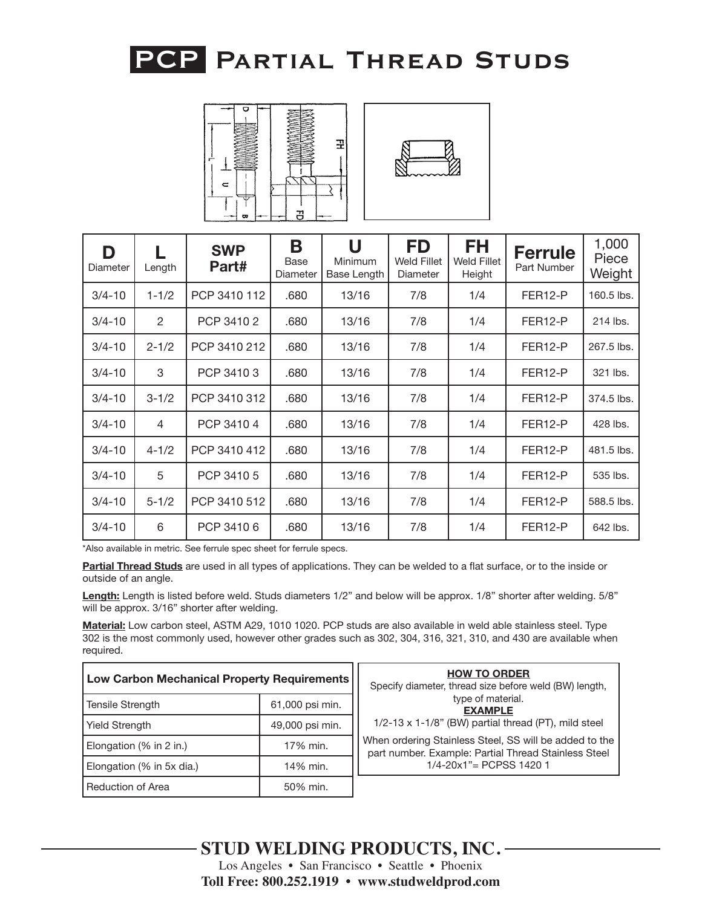



| D<br>Diameter | Length    | <b>SWP</b><br>Part# | Β<br>Base<br>Diameter | U<br>Minimum<br>Base Length | <b>FD</b><br><b>Weld Fillet</b><br>Diameter | <b>FH</b><br><b>Weld Fillet</b><br>Height | <b>Ferrule</b><br>Part Number | 1,000<br>Piece<br>Weight |
|---------------|-----------|---------------------|-----------------------|-----------------------------|---------------------------------------------|-------------------------------------------|-------------------------------|--------------------------|
| $3/4 - 10$    | $1 - 1/2$ | PCP 3410 112        | .680                  | 13/16                       | 7/8                                         | 1/4                                       | FER <sub>12-P</sub>           | 160.5 lbs.               |
| $3/4 - 10$    | 2         | PCP 3410 2          | .680                  | 13/16                       | 7/8                                         | 1/4                                       | FER <sub>12-P</sub>           | 214 lbs.                 |
| $3/4 - 10$    | $2 - 1/2$ | PCP 3410 212        | .680                  | 13/16                       | 7/8                                         | 1/4                                       | FER <sub>12-P</sub>           | 267.5 lbs.               |
| $3/4 - 10$    | 3         | PCP 34103           | .680                  | 13/16                       | 7/8                                         | 1/4                                       | FER <sub>12-P</sub>           | 321 lbs.                 |
| $3/4 - 10$    | $3 - 1/2$ | PCP 3410 312        | .680                  | 13/16                       | 7/8                                         | 1/4                                       | FER <sub>12-P</sub>           | 374.5 lbs.               |
| $3/4 - 10$    | 4         | PCP 3410 4          | .680                  | 13/16                       | 7/8                                         | 1/4                                       | FER12-P                       | 428 lbs.                 |
| $3/4 - 10$    | $4 - 1/2$ | PCP 3410 412        | .680                  | 13/16                       | 7/8                                         | 1/4                                       | FER <sub>12-P</sub>           | 481.5 lbs.               |
| $3/4 - 10$    | 5         | PCP 3410 5          | .680                  | 13/16                       | 7/8                                         | 1/4                                       | FER <sub>12-P</sub>           | 535 lbs.                 |
| $3/4 - 10$    | $5 - 1/2$ | PCP 3410 512        | .680                  | 13/16                       | 7/8                                         | 1/4                                       | FER <sub>12-P</sub>           | 588.5 lbs.               |
| $3/4 - 10$    | 6         | PCP 34106           | .680                  | 13/16                       | 7/8                                         | 1/4                                       | FER <sub>12-P</sub>           | 642 lbs.                 |

\*Also available in metric. See ferrule spec sheet for ferrule specs.

**Partial Thread Studs** are used in all types of applications. They can be welded to a flat surface, or to the inside or outside of an angle.

**Length:** Length is listed before weld. Studs diameters 1/2" and below will be approx. 1/8" shorter after welding. 5/8" will be approx. 3/16" shorter after welding.

| Low Carbon Mechanical Property Requirements |                 | <b>HOW TO ORDER</b><br>Specify diameter, thread size before weld (BW) length,                                  |
|---------------------------------------------|-----------------|----------------------------------------------------------------------------------------------------------------|
| <b>Tensile Strength</b>                     | 61,000 psi min. | type of material.<br><b>EXAMPLE</b>                                                                            |
| 49,000 psi min.<br><b>Yield Strength</b>    |                 | $1/2-13 \times 1-1/8$ " (BW) partial thread (PT), mild steel                                                   |
| Elongation (% in 2 in.)                     | 17% min.        | When ordering Stainless Steel, SS will be added to the<br>part number. Example: Partial Thread Stainless Steel |
| Elongation (% in 5x dia.)                   | 14% min.        | $1/4 - 20x1" = PCPSS 14201$                                                                                    |
| <b>Reduction of Area</b>                    | 50% min.        |                                                                                                                |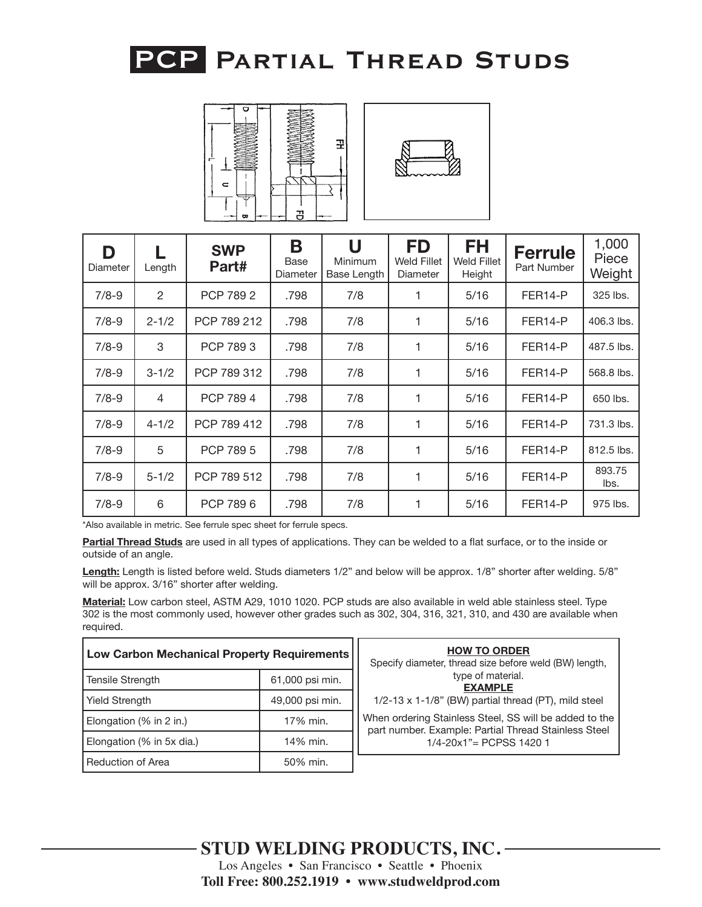



| D<br>Diameter | Length    | <b>SWP</b><br>Part# | B<br>Base<br>Diameter | U<br><b>Minimum</b><br>Base Length | <b>FD</b><br><b>Weld Fillet</b><br>Diameter | <b>FH</b><br><b>Weld Fillet</b><br>Height | <b>Ferrule</b><br>Part Number | 1,000<br>Piece<br>Weight |
|---------------|-----------|---------------------|-----------------------|------------------------------------|---------------------------------------------|-------------------------------------------|-------------------------------|--------------------------|
| $7/8 - 9$     | 2         | PCP 789 2           | .798                  | 7/8                                |                                             | 5/16                                      | FER <sub>14-P</sub>           | 325 lbs.                 |
| $7/8-9$       | $2 - 1/2$ | PCP 789 212         | .798                  | 7/8                                |                                             | 5/16                                      | FER <sub>14-P</sub>           | 406.3 lbs.               |
| $7/8 - 9$     | 3         | PCP 7893            | .798                  | 7/8                                | 1                                           | 5/16                                      | FER <sub>14-P</sub>           | 487.5 lbs.               |
| $7/8 - 9$     | $3 - 1/2$ | PCP 789 312         | .798                  | 7/8                                |                                             | 5/16                                      | FER <sub>14-P</sub>           | 568.8 lbs.               |
| $7/8 - 9$     | 4         | PCP 7894            | .798                  | 7/8                                | 1                                           | 5/16                                      | FER <sub>14-P</sub>           | 650 lbs.                 |
| $7/8 - 9$     | $4 - 1/2$ | PCP 789 412         | .798                  | 7/8                                | 1                                           | 5/16                                      | FER <sub>14-P</sub>           | 731.3 lbs.               |
| $7/8 - 9$     | 5         | PCP 789 5           | .798                  | 7/8                                |                                             | 5/16                                      | FER <sub>14-P</sub>           | 812.5 lbs.               |
| $7/8 - 9$     | $5 - 1/2$ | PCP 789 512         | .798                  | 7/8                                | 1                                           | 5/16                                      | FER14-P                       | 893.75<br>lbs.           |
| $7/8 - 9$     | 6         | PCP 7896            | .798                  | 7/8                                |                                             | 5/16                                      | FER <sub>14-P</sub>           | 975 lbs.                 |

\*Also available in metric. See ferrule spec sheet for ferrule specs.

**Partial Thread Studs** are used in all types of applications. They can be welded to a flat surface, or to the inside or outside of an angle.

**Length:** Length is listed before weld. Studs diameters 1/2" and below will be approx. 1/8" shorter after welding. 5/8" will be approx. 3/16" shorter after welding.

| Low Carbon Mechanical Property Requirements                                  |                 | <b>HOW TO ORDER</b><br>Specify diameter, thread size before weld (BW) length,                                  |
|------------------------------------------------------------------------------|-----------------|----------------------------------------------------------------------------------------------------------------|
| 61,000 psi min.<br><b>Tensile Strength</b>                                   |                 | type of material.<br><b>EXAMPLE</b>                                                                            |
| <b>Yield Strength</b>                                                        | 49,000 psi min. | $1/2-13 \times 1-1/8$ " (BW) partial thread (PT), mild steel                                                   |
| 17% min.<br>Elongation (% in 2 in.)<br>14% min.<br>Elongation (% in 5x dia.) |                 | When ordering Stainless Steel, SS will be added to the<br>part number. Example: Partial Thread Stainless Steel |
|                                                                              |                 | $1/4 - 20x1" = PCPSS 14201$                                                                                    |
| Reduction of Area<br>50% min.                                                |                 |                                                                                                                |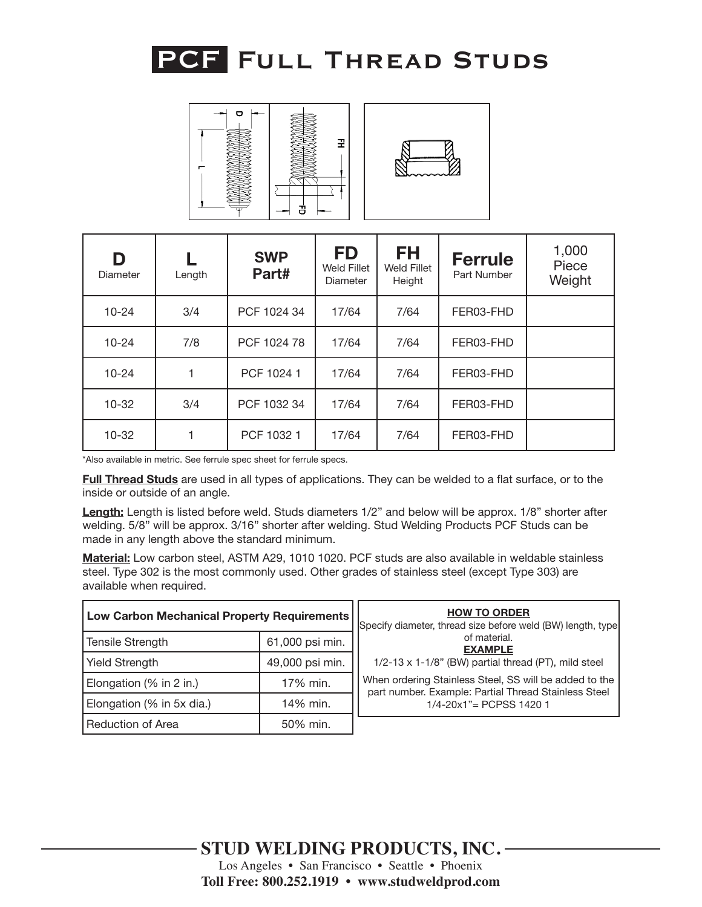





| D<br>Diameter | Length | <b>SWP</b><br>Part# | <b>FD</b><br>Weld Fillet<br><b>Diameter</b> | FH<br>Weld Fillet<br>Height | <b>Ferrule</b><br>Part Number | 1,000<br>Piece<br>Weight |
|---------------|--------|---------------------|---------------------------------------------|-----------------------------|-------------------------------|--------------------------|
| $10 - 24$     | 3/4    | PCF 1024 34         | 17/64                                       | 7/64                        | FER03-FHD                     |                          |
| $10 - 24$     | 7/8    | PCF 1024 78         | 17/64                                       | 7/64                        | FER03-FHD                     |                          |
| $10 - 24$     |        | PCF 1024 1          | 17/64                                       | 7/64                        | FER03-FHD                     |                          |
| $10-32$       | 3/4    | PCF 1032 34         | 17/64                                       | 7/64                        | FER03-FHD                     |                          |
| $10 - 32$     |        | PCF 1032 1          | 17/64                                       | 7/64                        | FER03-FHD                     |                          |

**Full Thread Studs** are used in all types of applications. They can be welded to a flat surface, or to the inside or outside of an angle.

**Length:** Length is listed before weld. Studs diameters 1/2" and below will be approx. 1/8" shorter after welding. 5/8" will be approx. 3/16" shorter after welding. Stud Welding Products PCF Studs can be made in any length above the standard minimum.

| Low Carbon Mechanical Property Requirements                                  |                 | <b>HOW TO ORDER</b><br>Specify diameter, thread size before weld (BW) length, type                             |
|------------------------------------------------------------------------------|-----------------|----------------------------------------------------------------------------------------------------------------|
| 61,000 psi min.<br><b>Tensile Strength</b>                                   |                 | of material.<br><b>EXAMPLE</b>                                                                                 |
| <b>Yield Strength</b>                                                        | 49,000 psi min. | 1/2-13 x 1-1/8" (BW) partial thread (PT), mild steel                                                           |
| 17% min.<br>Elongation (% in 2 in.)<br>Elongation (% in 5x dia.)<br>14% min. |                 | When ordering Stainless Steel, SS will be added to the<br>part number. Example: Partial Thread Stainless Steel |
|                                                                              |                 | $1/4 - 20x1" = PCPSS 14201$                                                                                    |
| <b>Reduction of Area</b><br>50% min.                                         |                 |                                                                                                                |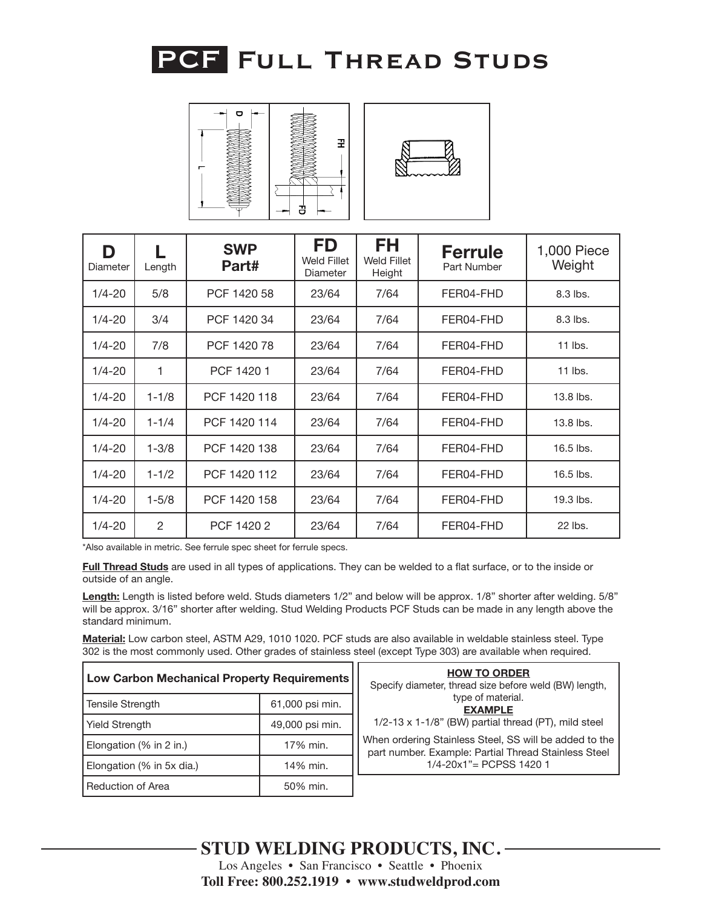

| $\mathbf{\sigma}$ | Ŧ |
|-------------------|---|
| --                | ප |



| D<br>Diameter | Length    | <b>SWP</b><br>Part# | <b>FD</b><br><b>Weld Fillet</b><br>Diameter | FH<br><b>Weld Fillet</b><br>Height | <b>Ferrule</b><br>Part Number | 1,000 Piece<br>Weight |
|---------------|-----------|---------------------|---------------------------------------------|------------------------------------|-------------------------------|-----------------------|
| $1/4 - 20$    | 5/8       | PCF 1420 58         | 23/64                                       | 7/64                               | FER04-FHD                     | 8.3 lbs.              |
| $1/4 - 20$    | 3/4       | PCF 1420 34         | 23/64                                       | 7/64                               | FER04-FHD                     | 8.3 lbs.              |
| $1/4 - 20$    | 7/8       | PCF 1420 78         | 23/64                                       | 7/64                               | FER04-FHD                     | 11 lbs.               |
| $1/4 - 20$    | 1         | PCF 1420 1          | 23/64                                       | 7/64                               | FER04-FHD                     | $11$ lbs.             |
| $1/4 - 20$    | $1 - 1/8$ | PCF 1420 118        | 23/64                                       | 7/64                               | FER04-FHD                     | 13.8 lbs.             |
| $1/4 - 20$    | $1 - 1/4$ | PCF 1420 114        | 23/64                                       | 7/64                               | FER04-FHD                     | 13.8 lbs.             |
| $1/4 - 20$    | $1 - 3/8$ | PCF 1420 138        | 23/64                                       | 7/64                               | FER04-FHD                     | 16.5 lbs.             |
| $1/4 - 20$    | $1 - 1/2$ | PCF 1420 112        | 23/64                                       | 7/64                               | FER04-FHD                     | 16.5 lbs.             |
| $1/4 - 20$    | $1 - 5/8$ | PCF 1420 158        | 23/64                                       | 7/64                               | FER04-FHD                     | 19.3 lbs.             |
| $1/4 - 20$    | 2         | PCF 1420 2          | 23/64                                       | 7/64                               | FER04-FHD                     | 22 lbs.               |

**Full Thread Studs** are used in all types of applications. They can be welded to a flat surface, or to the inside or outside of an angle.

**Length:** Length is listed before weld. Studs diameters 1/2" and below will be approx. 1/8" shorter after welding. 5/8" will be approx. 3/16" shorter after welding. Stud Welding Products PCF Studs can be made in any length above the standard minimum.

| <b>Low Carbon Mechanical Property Requirements</b>                           |                 | <b>HOW TO ORDER</b><br>Specify diameter, thread size before weld (BW) length,                                  |
|------------------------------------------------------------------------------|-----------------|----------------------------------------------------------------------------------------------------------------|
| 61,000 psi min.<br>Tensile Strength                                          |                 | type of material.<br><b>EXAMPLE</b>                                                                            |
| <b>Yield Strength</b>                                                        | 49,000 psi min. | 1/2-13 x 1-1/8" (BW) partial thread (PT), mild steel                                                           |
| 17% min.<br>Elongation (% in 2 in.)<br>14% min.<br>Elongation (% in 5x dia.) |                 | When ordering Stainless Steel, SS will be added to the<br>part number. Example: Partial Thread Stainless Steel |
|                                                                              |                 | $1/4 - 20x1" = PCPSS 14201$                                                                                    |
| <b>Reduction of Area</b>                                                     | 50% min.        |                                                                                                                |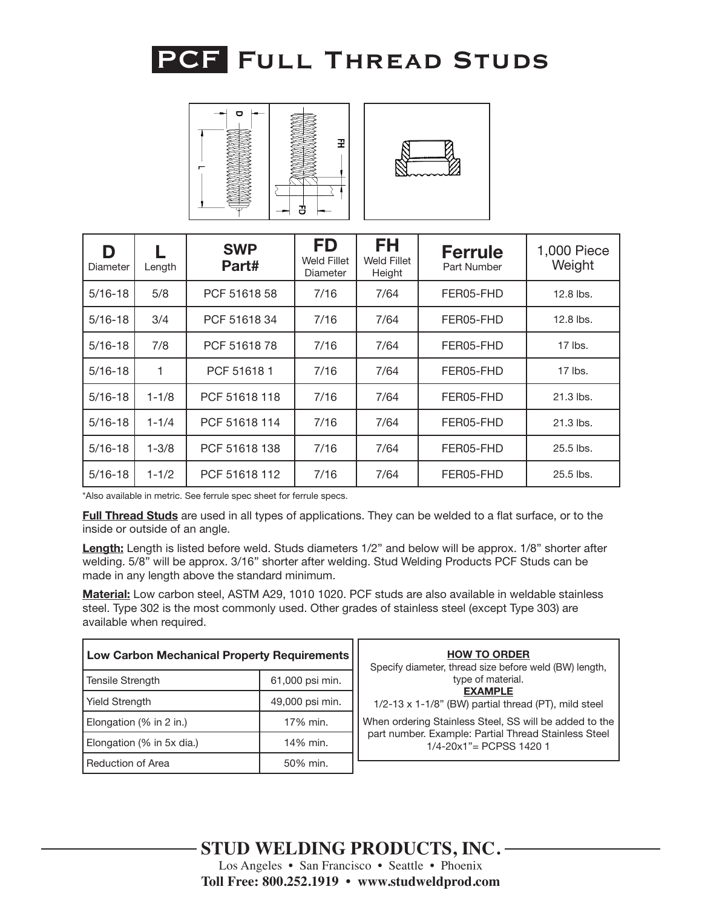



| D<br>Diameter | Length    | <b>SWP</b><br>Part# | <b>FD</b><br>Weld Fillet<br>Diameter | <b>FH</b><br><b>Weld Fillet</b><br>Height | <b>Ferrule</b><br>Part Number | 1,000 Piece<br>Weight |
|---------------|-----------|---------------------|--------------------------------------|-------------------------------------------|-------------------------------|-----------------------|
| $5/16 - 18$   | 5/8       | PCF 51618 58        | 7/16                                 | 7/64                                      | FER05-FHD                     | 12.8 lbs.             |
| $5/16 - 18$   | 3/4       | PCF 5161834         | 7/16                                 | 7/64                                      | FER05-FHD                     | 12.8 lbs.             |
| $5/16 - 18$   | 7/8       | PCF 5161878         | 7/16                                 | 7/64                                      | FER05-FHD                     | $17$ lbs.             |
| $5/16 - 18$   | 1         | PCF 516181          | 7/16                                 | 7/64                                      | FER05-FHD                     | $17$ lbs.             |
| $5/16 - 18$   | $1 - 1/8$ | PCF 51618 118       | 7/16                                 | 7/64                                      | FER05-FHD                     | $21.3$ lbs.           |
| $5/16 - 18$   | $1 - 1/4$ | PCF 51618 114       | 7/16                                 | 7/64                                      | FER05-FHD                     | 21.3 lbs.             |
| $5/16 - 18$   | $1 - 3/8$ | PCF 51618 138       | 7/16                                 | 7/64                                      | FER05-FHD                     | 25.5 lbs.             |
| $5/16 - 18$   | $1 - 1/2$ | PCF 51618 112       | 7/16                                 | 7/64                                      | FER05-FHD                     | 25.5 lbs.             |

**Full Thread Studs** are used in all types of applications. They can be welded to a flat surface, or to the inside or outside of an angle.

**Length:** Length is listed before weld. Studs diameters 1/2" and below will be approx. 1/8" shorter after welding. 5/8" will be approx. 3/16" shorter after welding. Stud Welding Products PCF Studs can be made in any length above the standard minimum.

| <b>Low Carbon Mechanical Property Requirements</b> |                 | <b>HOW TO ORDER</b><br>Specify diameter, thread size before weld (BW) length,         |
|----------------------------------------------------|-----------------|---------------------------------------------------------------------------------------|
| 61,000 psi min.<br>Tensile Strength                |                 | type of material.                                                                     |
| <b>Yield Strength</b>                              | 49,000 psi min. | <b>EXAMPLE</b><br>$1/2-13 \times 1-1/8$ " (BW) partial thread (PT), mild steel        |
| Elongation (% in 2 in.)<br>17% min.                |                 | When ordering Stainless Steel, SS will be added to the                                |
| Elongation (% in 5x dia.)<br>14% min.              |                 | part number. Example: Partial Thread Stainless Steel<br>$1/4 - 20x1$ " = PCPSS 1420 1 |
| <b>Reduction of Area</b><br>50% min.               |                 |                                                                                       |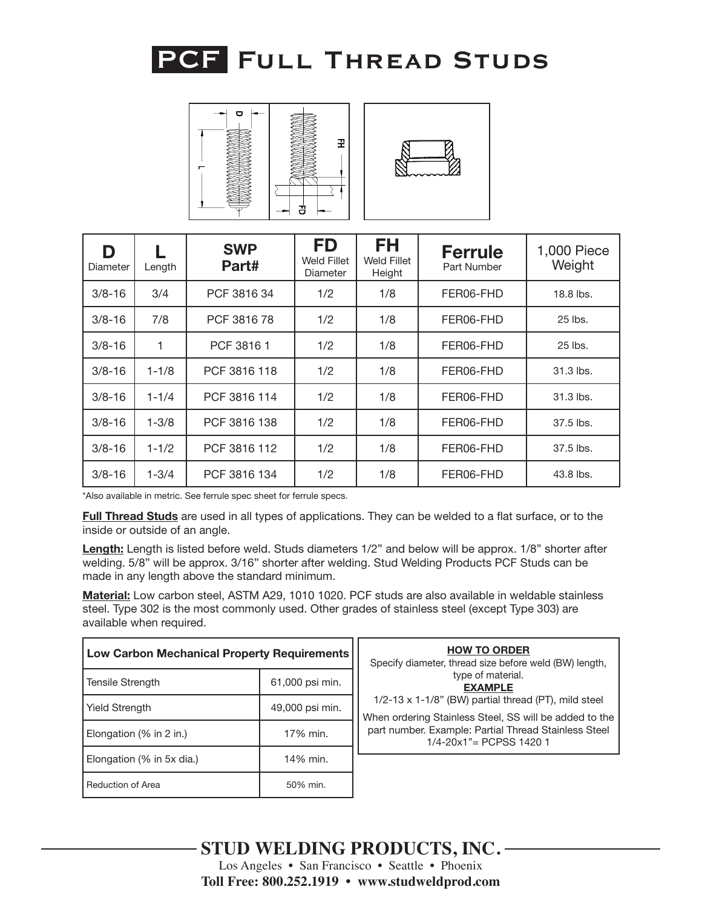



| D<br>Diameter | Length    | <b>SWP</b><br>Part# | FD<br>Weld Fillet<br>Diameter | FH<br>Weld Fillet<br>Height | <b>Ferrule</b><br>Part Number | 1,000 Piece<br>Weight |
|---------------|-----------|---------------------|-------------------------------|-----------------------------|-------------------------------|-----------------------|
| $3/8 - 16$    | 3/4       | PCF 3816 34         | 1/2                           | 1/8                         | FER06-FHD                     | 18.8 lbs.             |
| $3/8 - 16$    | 7/8       | PCF 381678          | 1/2                           | 1/8                         | FER06-FHD                     | 25 lbs.               |
| $3/8 - 16$    | 1         | PCF 38161           | 1/2                           | 1/8                         | FER06-FHD                     | 25 lbs.               |
| $3/8 - 16$    | $1 - 1/8$ | PCF 3816 118        | 1/2                           | 1/8                         | FER06-FHD                     | 31.3 lbs.             |
| $3/8 - 16$    | $1 - 1/4$ | PCF 3816 114        | 1/2                           | 1/8                         | FER06-FHD                     | 31.3 lbs.             |
| $3/8 - 16$    | $1 - 3/8$ | PCF 3816 138        | 1/2                           | 1/8                         | FER06-FHD                     | 37.5 lbs.             |
| $3/8 - 16$    | $1 - 1/2$ | PCF 3816 112        | 1/2                           | 1/8                         | FER06-FHD                     | 37.5 lbs.             |
| $3/8 - 16$    | $1 - 3/4$ | PCF 3816 134        | 1/2                           | 1/8                         | FER06-FHD                     | 43.8 lbs.             |

**Full Thread Studs** are used in all types of applications. They can be welded to a flat surface, or to the inside or outside of an angle.

**Length:** Length is listed before weld. Studs diameters 1/2" and below will be approx. 1/8" shorter after welding. 5/8" will be approx. 3/16" shorter after welding. Stud Welding Products PCF Studs can be made in any length above the standard minimum.

| Low Carbon Mechanical Property Requirements |                 | <b>HOW TO ORDER</b><br>Specify diameter, thread size before weld (BW) length,                                  |
|---------------------------------------------|-----------------|----------------------------------------------------------------------------------------------------------------|
| Tensile Strength                            | 61,000 psi min. | type of material.<br><b>EXAMPLE</b>                                                                            |
| <b>Yield Strength</b>                       | 49,000 psi min. | 1/2-13 x 1-1/8" (BW) partial thread (PT), mild steel<br>When ordering Stainless Steel, SS will be added to the |
| Elongation $(\%$ in 2 in.)                  | 17% min.        | part number. Example: Partial Thread Stainless Steel<br>$1/4 - 20x1" = PCPSS 14201$                            |
| Elongation (% in 5x dia.)                   | 14% min.        |                                                                                                                |
| Reduction of Area                           | 50% min.        |                                                                                                                |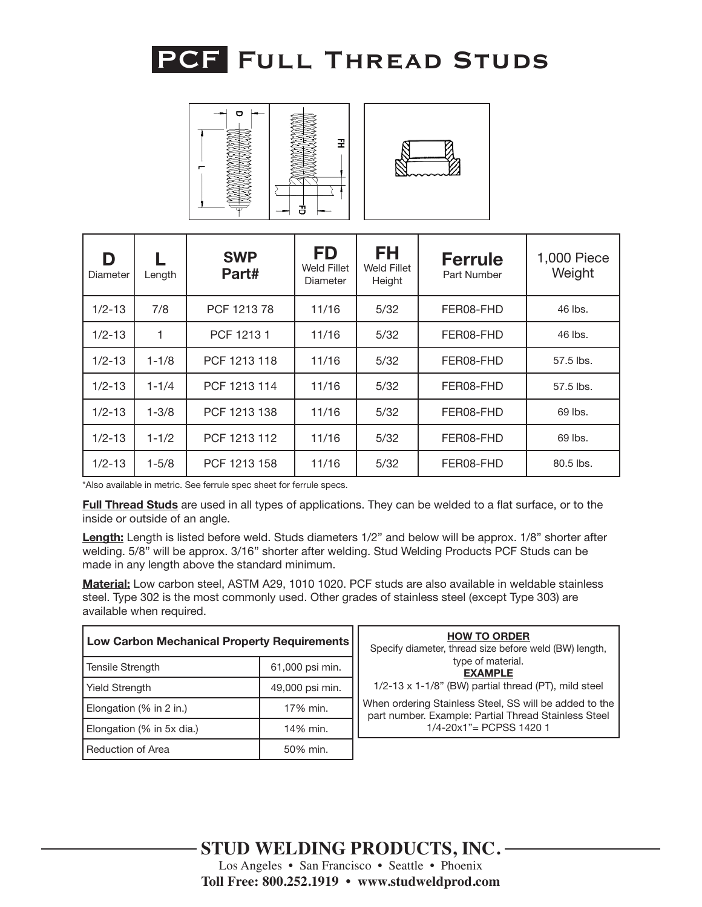

| Ō | 곷<br>3 |
|---|--------|



| D<br>Diameter | Length    | <b>SWP</b><br>Part# | <b>FD</b><br>Weld Fillet<br>Diameter | FH<br>Weld Fillet<br>Height | <b>Ferrule</b><br>Part Number | 1,000 Piece<br>Weight |
|---------------|-----------|---------------------|--------------------------------------|-----------------------------|-------------------------------|-----------------------|
| $1/2 - 13$    | 7/8       | PCF 121378          | 11/16                                | 5/32                        | FER08-FHD                     | 46 lbs.               |
| $1/2 - 13$    | 1         | PCF 12131           | 11/16                                | 5/32                        | FER08-FHD                     | 46 lbs.               |
| $1/2 - 13$    | $1 - 1/8$ | PCF 1213 118        | 11/16                                | 5/32                        | FER08-FHD                     | 57.5 lbs.             |
| $1/2 - 13$    | $1 - 1/4$ | PCF 1213 114        | 11/16                                | 5/32                        | FER08-FHD                     | 57.5 lbs.             |
| $1/2 - 13$    | $1 - 3/8$ | PCF 1213 138        | 11/16                                | 5/32                        | FER08-FHD                     | 69 lbs.               |
| $1/2 - 13$    | $1 - 1/2$ | PCF 1213 112        | 11/16                                | 5/32                        | FER08-FHD                     | 69 lbs.               |
| $1/2 - 13$    | $1 - 5/8$ | PCF 1213 158        | 11/16                                | 5/32                        | FER08-FHD                     | 80.5 lbs.             |

**Full Thread Studs** are used in all types of applications. They can be welded to a flat surface, or to the inside or outside of an angle.

**Length:** Length is listed before weld. Studs diameters 1/2" and below will be approx. 1/8" shorter after welding. 5/8" will be approx. 3/16" shorter after welding. Stud Welding Products PCF Studs can be made in any length above the standard minimum.

| Low Carbon Mechanical Property Requirements |                 | <b>HOW TO ORDER</b><br>Specify diameter, thread size before weld (BW) length,                                  |
|---------------------------------------------|-----------------|----------------------------------------------------------------------------------------------------------------|
| 61,000 psi min.<br><b>Tensile Strength</b>  |                 | type of material.<br><b>EXAMPLE</b>                                                                            |
| <b>Yield Strength</b>                       | 49,000 psi min. | 1/2-13 x 1-1/8" (BW) partial thread (PT), mild steel                                                           |
| 17% min.<br>Elongation (% in 2 in.)         |                 | When ordering Stainless Steel, SS will be added to the<br>part number. Example: Partial Thread Stainless Steel |
| Elongation (% in 5x dia.)                   | 14% min.        | $1/4 - 20x1" = PCPSS 14201$                                                                                    |
| Reduction of Area                           | 50% min.        |                                                                                                                |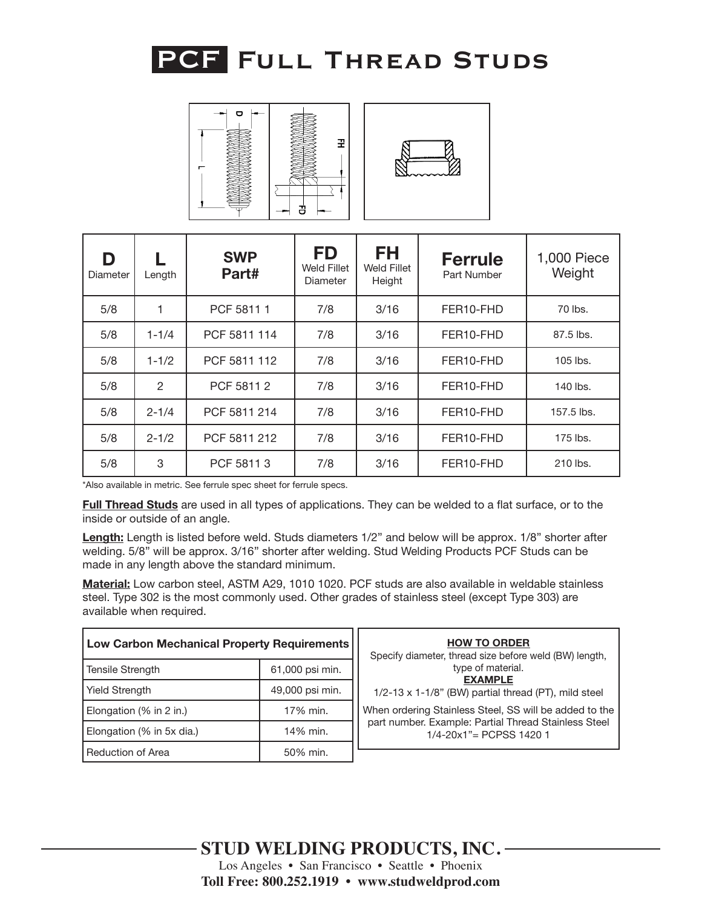

| $\bullet$ | Ŧ<br>3 |
|-----------|--------|



| D<br>Diameter | Length        | <b>SWP</b><br>Part# | <b>FD</b><br>Weld Fillet<br><b>Diameter</b> | <b>FH</b><br>Weld Fillet<br>Height | <b>Ferrule</b><br>Part Number | 1,000 Piece<br>Weight |
|---------------|---------------|---------------------|---------------------------------------------|------------------------------------|-------------------------------|-----------------------|
| 5/8           |               | PCF 58111           | 7/8                                         | 3/16                               | FER10-FHD                     | 70 lbs.               |
| 5/8           | $1 - 1/4$     | PCF 5811 114        | 7/8                                         | 3/16                               | FER10-FHD                     | 87.5 lbs.             |
| 5/8           | $1 - 1/2$     | PCF 5811 112        | 7/8                                         | 3/16                               | FER10-FHD                     | 105 lbs.              |
| 5/8           | $\mathcal{P}$ | PCF 5811 2          | 7/8                                         | 3/16                               | FER10-FHD                     | 140 lbs.              |
| 5/8           | $2 - 1/4$     | PCF 5811 214        | 7/8                                         | 3/16                               | FER10-FHD                     | 157.5 lbs.            |
| 5/8           | $2 - 1/2$     | PCF 5811 212        | 7/8                                         | 3/16                               | FER10-FHD                     | 175 lbs.              |
| 5/8           | 3             | PCF 58113           | 7/8                                         | 3/16                               | FER10-FHD                     | 210 lbs.              |

**Full Thread Studs** are used in all types of applications. They can be welded to a flat surface, or to the inside or outside of an angle.

**Length:** Length is listed before weld. Studs diameters 1/2" and below will be approx. 1/8" shorter after welding. 5/8" will be approx. 3/16" shorter after welding. Stud Welding Products PCF Studs can be made in any length above the standard minimum.

| <b>Low Carbon Mechanical Property Requirements</b> |                 | <b>HOW TO ORDER</b><br>Specify diameter, thread size before weld (BW) length,         |
|----------------------------------------------------|-----------------|---------------------------------------------------------------------------------------|
| 61,000 psi min.<br><b>Tensile Strength</b>         |                 | type of material.<br><b>EXAMPLE</b>                                                   |
| <b>Yield Strength</b>                              | 49,000 psi min. | 1/2-13 x 1-1/8" (BW) partial thread (PT), mild steel                                  |
| Elongation (% in 2 in.)                            | 17% min.        | When ordering Stainless Steel, SS will be added to the                                |
| Elongation (% in 5x dia.)                          | 14% min.        | part number. Example: Partial Thread Stainless Steel<br>$1/4 - 20x1$ " = PCPSS 1420 1 |
| Reduction of Area                                  | 50% min.        |                                                                                       |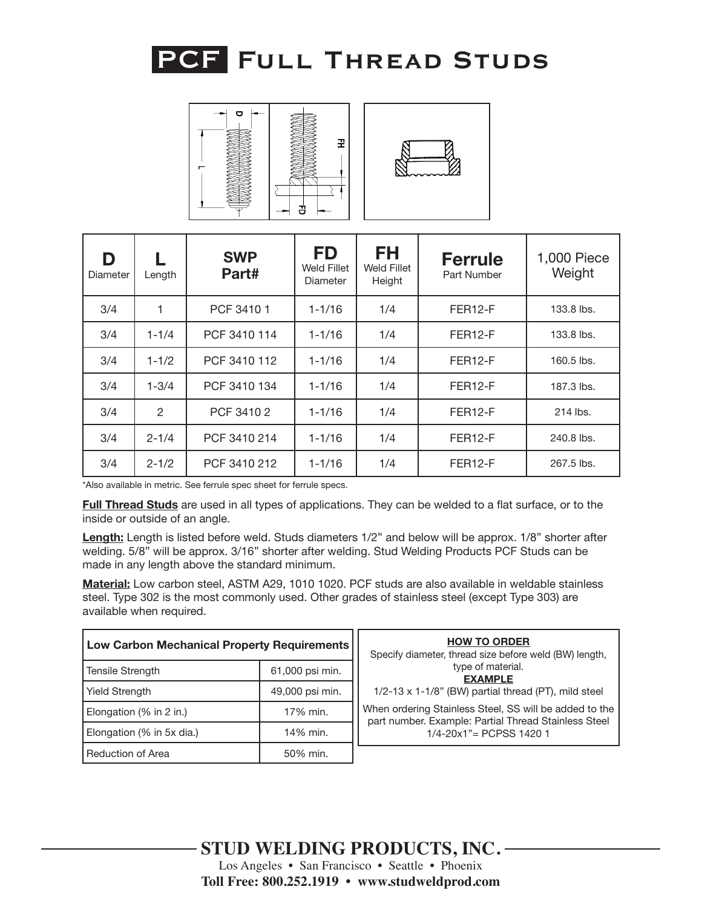



| D<br>Diameter | Length        | <b>SWP</b><br>Part# | <b>FD</b><br><b>Weld Fillet</b><br>Diameter | <b>FH</b><br>Weld Fillet<br>Height | <b>Ferrule</b><br>Part Number | 1,000 Piece<br>Weight |
|---------------|---------------|---------------------|---------------------------------------------|------------------------------------|-------------------------------|-----------------------|
| 3/4           |               | PCF 3410 1          | $1 - 1/16$                                  | 1/4                                | FER <sub>12-F</sub>           | 133.8 lbs.            |
| 3/4           | $1 - 1/4$     | PCF 3410 114        | $1 - 1/16$                                  | 1/4                                | FER <sub>12-F</sub>           | 133.8 lbs.            |
| 3/4           | $1 - 1/2$     | PCF 3410 112        | $1 - 1/16$                                  | 1/4                                | FER <sub>12-F</sub>           | 160.5 lbs.            |
| 3/4           | $1 - 3/4$     | PCF 3410 134        | $1 - 1/16$                                  | 1/4                                | FER <sub>12-F</sub>           | 187.3 lbs.            |
| 3/4           | $\mathcal{P}$ | PCF 3410 2          | $1 - 1/16$                                  | 1/4                                | FER <sub>12-F</sub>           | 214 lbs.              |
| 3/4           | $2 - 1/4$     | PCF 3410 214        | $1 - 1/16$                                  | 1/4                                | FER <sub>12-F</sub>           | 240.8 lbs.            |
| 3/4           | $2 - 1/2$     | PCF 3410 212        | $1 - 1/16$                                  | 1/4                                | FER <sub>12-F</sub>           | 267.5 lbs.            |

**Full Thread Studs** are used in all types of applications. They can be welded to a flat surface, or to the inside or outside of an angle.

**Length:** Length is listed before weld. Studs diameters 1/2" and below will be approx. 1/8" shorter after welding. 5/8" will be approx. 3/16" shorter after welding. Stud Welding Products PCF Studs can be made in any length above the standard minimum.

| <b>Low Carbon Mechanical Property Requirements</b> |                 | <b>HOW TO ORDER</b><br>Specify diameter, thread size before weld (BW) length,                                  |
|----------------------------------------------------|-----------------|----------------------------------------------------------------------------------------------------------------|
| 61,000 psi min.<br>Tensile Strength                |                 | type of material.<br><b>EXAMPLE</b>                                                                            |
| <b>Yield Strength</b>                              | 49,000 psi min. | 1/2-13 x 1-1/8" (BW) partial thread (PT), mild steel                                                           |
| Elongation (% in 2 in.)<br>17% min.                |                 | When ordering Stainless Steel, SS will be added to the<br>part number. Example: Partial Thread Stainless Steel |
| Elongation (% in 5x dia.)                          | 14% min.        | 1/4-20x1"= PCPSS 1420 1                                                                                        |
| Reduction of Area<br>50% min.                      |                 |                                                                                                                |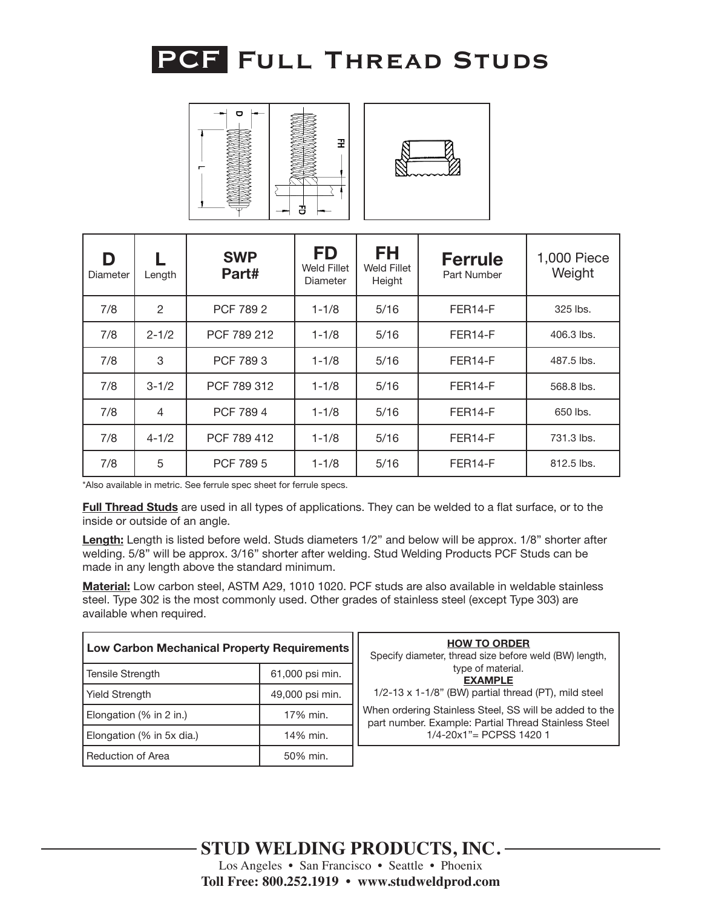

| Ō<br>- |   |
|--------|---|
|        |   |
|        | 곷 |
|        |   |
|        |   |
|        | Ŧ |



| D<br>Diameter | Length         | <b>SWP</b><br>Part# | <b>FD</b><br>Weld Fillet<br>Diameter | <b>FH</b><br>Weld Fillet<br>Height | <b>Ferrule</b><br>Part Number | 1,000 Piece<br>Weight |
|---------------|----------------|---------------------|--------------------------------------|------------------------------------|-------------------------------|-----------------------|
| 7/8           | $\overline{2}$ | PCF 789 2           | $1 - 1/8$                            | 5/16                               | FER14-F                       | 325 lbs.              |
| 7/8           | $2 - 1/2$      | PCF 789 212         | $1 - 1/8$                            | 5/16                               | FER14-F                       | 406.3 lbs.            |
| 7/8           | 3              | PCF 7893            | $1 - 1/8$                            | 5/16                               | FER14-F                       | 487.5 lbs.            |
| 7/8           | $3 - 1/2$      | PCF 789 312         | $1 - 1/8$                            | 5/16                               | FER14-F                       | 568.8 lbs.            |
| 7/8           | 4              | PCF 7894            | $1 - 1/8$                            | 5/16                               | FER14-F                       | 650 lbs.              |
| 7/8           | $4 - 1/2$      | PCF 789 412         | $1 - 1/8$                            | 5/16                               | FER14-F                       | 731.3 lbs.            |
| 7/8           | 5              | PCF 789 5           | $1 - 1/8$                            | 5/16                               | FER <sub>14-F</sub>           | 812.5 lbs.            |

**Full Thread Studs** are used in all types of applications. They can be welded to a flat surface, or to the inside or outside of an angle.

**Length:** Length is listed before weld. Studs diameters 1/2" and below will be approx. 1/8" shorter after welding. 5/8" will be approx. 3/16" shorter after welding. Stud Welding Products PCF Studs can be made in any length above the standard minimum.

| Low Carbon Mechanical Property Requirements |                 | <b>HOW TO ORDER</b><br>Specify diameter, thread size before weld (BW) length,                                  |
|---------------------------------------------|-----------------|----------------------------------------------------------------------------------------------------------------|
| 61,000 psi min.<br>Tensile Strength         |                 | type of material.<br><b>EXAMPLE</b>                                                                            |
| <b>Yield Strength</b>                       | 49,000 psi min. | 1/2-13 x 1-1/8" (BW) partial thread (PT), mild steel                                                           |
| Elongation (% in 2 in.)                     | 17% min.        | When ordering Stainless Steel, SS will be added to the<br>part number. Example: Partial Thread Stainless Steel |
| Elongation (% in 5x dia.)                   | 14% min.        | $1/4 - 20x1" = PCPSS 14201$                                                                                    |
| <b>Reduction of Area</b>                    | 50% min.        |                                                                                                                |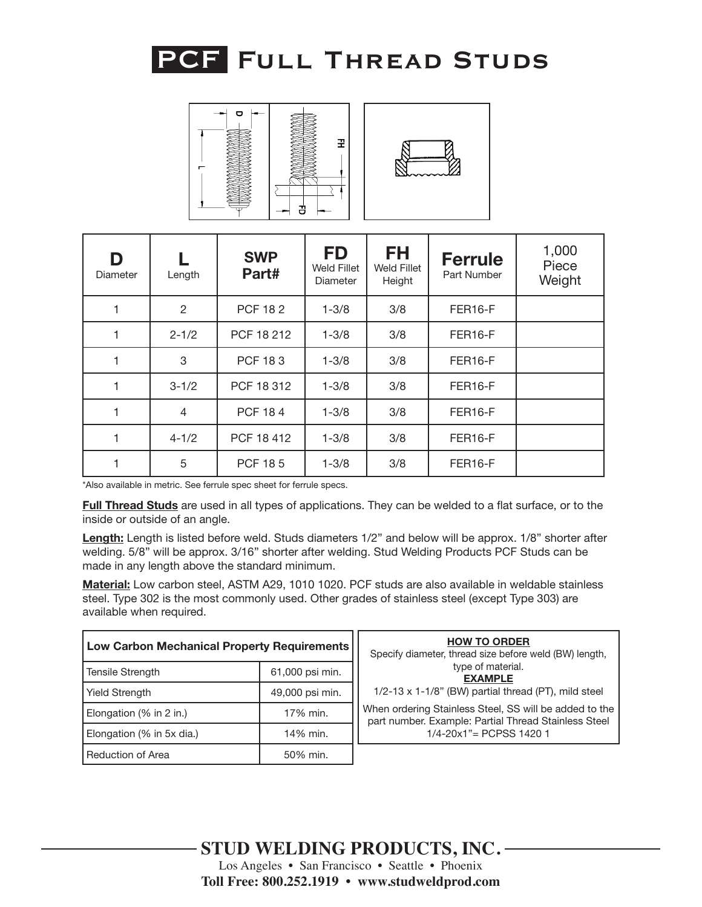

| $\mathbf{\sigma}$ | 꿒<br>명 |
|-------------------|--------|



| D<br>Diameter | Length    | <b>SWP</b><br>Part# | <b>FD</b><br><b>Weld Fillet</b><br><b>Diameter</b> | <b>FH</b><br><b>Weld Fillet</b><br>Height | <b>Ferrule</b><br>Part Number | 1,000<br>Piece<br>Weight |
|---------------|-----------|---------------------|----------------------------------------------------|-------------------------------------------|-------------------------------|--------------------------|
|               | 2         | <b>PCF 182</b>      | $1 - 3/8$                                          | 3/8                                       | FER16-F                       |                          |
| 1             | $2 - 1/2$ | PCF 18 212          | $1 - 3/8$                                          | 3/8                                       | FER16-F                       |                          |
| 1             | 3         | <b>PCF 183</b>      | $1 - 3/8$                                          | 3/8                                       | FER16-F                       |                          |
| $\mathbf{1}$  | $3 - 1/2$ | PCF 18 312          | $1 - 3/8$                                          | 3/8                                       | FER16-F                       |                          |
|               | 4         | <b>PCF 184</b>      | $1 - 3/8$                                          | 3/8                                       | FER16-F                       |                          |
| 1             | $4 - 1/2$ | PCF 18 412          | $1 - 3/8$                                          | 3/8                                       | FER16-F                       |                          |
| 1             | 5         | <b>PCF 185</b>      | $1 - 3/8$                                          | 3/8                                       | FER16-F                       |                          |

**Full Thread Studs** are used in all types of applications. They can be welded to a flat surface, or to the inside or outside of an angle.

**Length:** Length is listed before weld. Studs diameters 1/2" and below will be approx. 1/8" shorter after welding. 5/8" will be approx. 3/16" shorter after welding. Stud Welding Products PCF Studs can be made in any length above the standard minimum.

| <b>Low Carbon Mechanical Property Requirements</b> |                 | <b>HOW TO ORDER</b><br>Specify diameter, thread size before weld (BW) length,                                  |
|----------------------------------------------------|-----------------|----------------------------------------------------------------------------------------------------------------|
| 61,000 psi min.<br>Tensile Strength                |                 | type of material.<br><b>EXAMPLE</b>                                                                            |
| <b>Yield Strength</b>                              | 49,000 psi min. | $1/2-13 \times 1-1/8$ " (BW) partial thread (PT), mild steel                                                   |
| Elongation (% in 2 in.)                            | 17% min.        | When ordering Stainless Steel, SS will be added to the<br>part number. Example: Partial Thread Stainless Steel |
| Elongation (% in 5x dia.)                          | 14% min.        | $1/4 - 20x1" = PCPSS 14201$                                                                                    |
| Reduction of Area                                  | 50% min.        |                                                                                                                |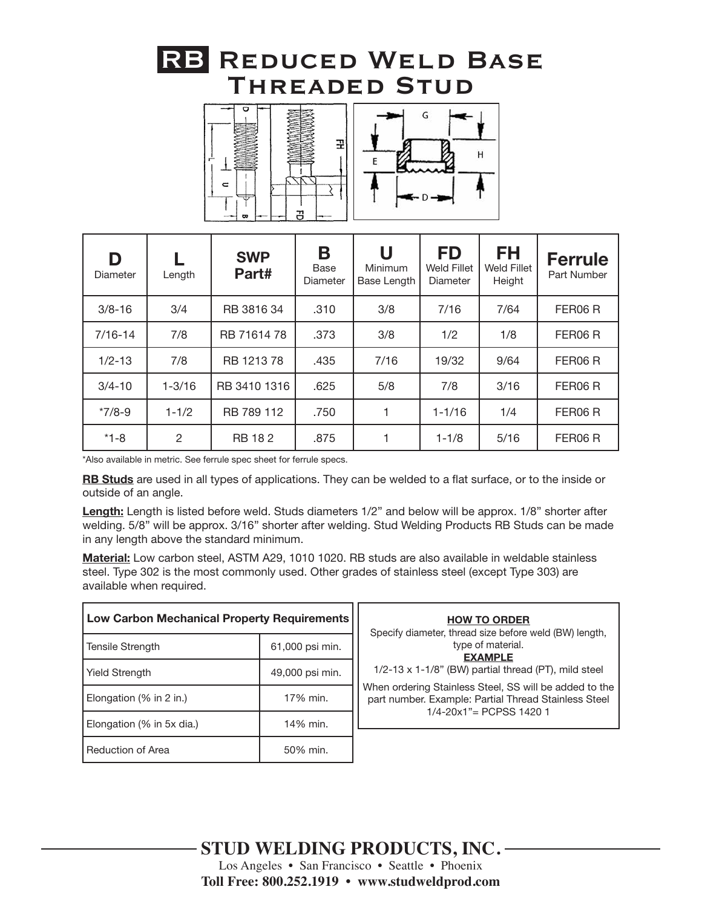### **RB Reduced Weld Base Threaded Stud**





| D<br>Diameter | Length     | <b>SWP</b><br>Part# | Β<br>Base<br>Diameter | U<br>Minimum<br>Base Length | <b>FD</b><br>Weld Fillet<br><b>Diameter</b> | FH<br><b>Weld Fillet</b><br>Height | <b>Ferrule</b><br>Part Number |
|---------------|------------|---------------------|-----------------------|-----------------------------|---------------------------------------------|------------------------------------|-------------------------------|
| $3/8 - 16$    | 3/4        | RB 3816 34          | .310                  | 3/8                         | 7/16                                        | 7/64                               | FER06 R                       |
| $7/16 - 14$   | 7/8        | RB 7161478          | .373                  | 3/8                         | 1/2                                         | 1/8                                | FER06 R                       |
| $1/2 - 13$    | 7/8        | RB 1213 78          | .435                  | 7/16                        | 19/32                                       | 9/64                               | FER06R                        |
| $3/4 - 10$    | $1 - 3/16$ | RB 3410 1316        | .625                  | 5/8                         | 7/8                                         | 3/16                               | FER06 R                       |
| $*7/8-9$      | $1 - 1/2$  | RB 789 112          | .750                  |                             | $1 - 1/16$                                  | 1/4                                | FER06 R                       |
| $*1 - 8$      | 2          | <b>RB 182</b>       | .875                  |                             | $1 - 1/8$                                   | 5/16                               | FER06 R                       |

\*Also available in metric. See ferrule spec sheet for ferrule specs.

**RB Studs** are used in all types of applications. They can be welded to a flat surface, or to the inside or outside of an angle.

**Length:** Length is listed before weld. Studs diameters 1/2" and below will be approx. 1/8" shorter after welding. 5/8" will be approx. 3/16" shorter after welding. Stud Welding Products RB Studs can be made in any length above the standard minimum.

| <b>Low Carbon Mechanical Property Requirements</b> |                 | <b>HOW TO ORDER</b><br>Specify diameter, thread size before weld (BW) length,                                                                 |
|----------------------------------------------------|-----------------|-----------------------------------------------------------------------------------------------------------------------------------------------|
| Tensile Strength                                   | 61,000 psi min. | type of material.<br><b>EXAMPLE</b>                                                                                                           |
| <b>Yield Strength</b>                              | 49,000 psi min. | 1/2-13 x 1-1/8" (BW) partial thread (PT), mild steel                                                                                          |
| Elongation (% in 2 in.)                            | 17% min.        | When ordering Stainless Steel, SS will be added to the<br>part number. Example: Partial Thread Stainless Steel<br>$1/4 - 20x1" = PCPSS 14201$ |
| 14% min.<br>Elongation (% in 5x dia.)              |                 |                                                                                                                                               |
| Reduction of Area                                  | 50% min.        |                                                                                                                                               |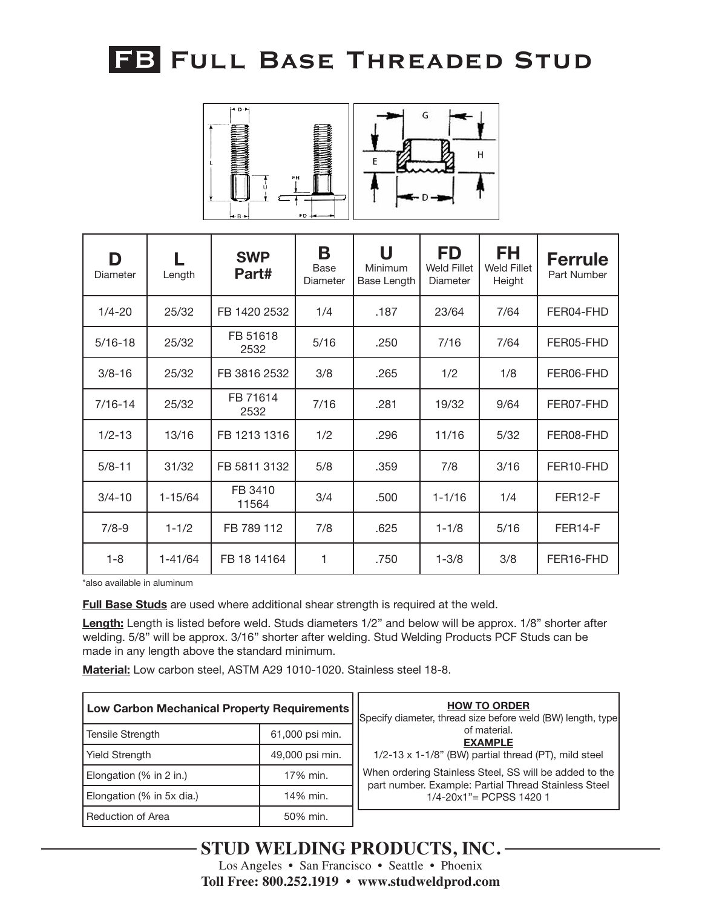# **FB Full Base Threaded Stud**



| D<br>Diameter | Length      | <b>SWP</b><br>Part# | Β<br>Base<br>Diameter | U<br>Minimum<br>Base Length | <b>FD</b><br><b>Weld Fillet</b><br>Diameter | <b>FH</b><br><b>Weld Fillet</b><br>Height | <b>Ferrule</b><br>Part Number |
|---------------|-------------|---------------------|-----------------------|-----------------------------|---------------------------------------------|-------------------------------------------|-------------------------------|
| $1/4 - 20$    | 25/32       | FB 1420 2532        | 1/4                   | .187                        | 23/64                                       | 7/64                                      | FER04-FHD                     |
| $5/16 - 18$   | 25/32       | FB 51618<br>2532    | 5/16                  | .250                        | 7/16                                        | 7/64                                      | FER05-FHD                     |
| $3/8 - 16$    | 25/32       | FB 3816 2532        | 3/8                   | .265                        | 1/2                                         | 1/8                                       | FER06-FHD                     |
| $7/16 - 14$   | 25/32       | FB 71614<br>2532    | 7/16                  | .281                        | 19/32                                       | 9/64                                      | FER07-FHD                     |
| $1/2 - 13$    | 13/16       | FB 1213 1316        | 1/2                   | .296                        | 11/16                                       | 5/32                                      | FER08-FHD                     |
| $5/8 - 11$    | 31/32       | FB 5811 3132        | 5/8                   | .359                        | 7/8                                         | 3/16                                      | FER10-FHD                     |
| $3/4 - 10$    | $1 - 15/64$ | FB 3410<br>11564    | 3/4                   | .500                        | $1 - 1/16$                                  | 1/4                                       | FER <sub>12-F</sub>           |
| $7/8 - 9$     | $1 - 1/2$   | FB 789 112          | 7/8                   | .625                        | $1 - 1/8$                                   | 5/16                                      | FER <sub>14-F</sub>           |
| $1 - 8$       | $1 - 41/64$ | FB 18 14164         | 1                     | .750                        | $1 - 3/8$                                   | 3/8                                       | FER16-FHD                     |

\*also available in aluminum

**Full Base Studs** are used where additional shear strength is required at the weld.

**Length:** Length is listed before weld. Studs diameters 1/2" and below will be approx. 1/8" shorter after welding. 5/8" will be approx. 3/16" shorter after welding. Stud Welding Products PCF Studs can be made in any length above the standard minimum.

**Material:** Low carbon steel, ASTM A29 1010-1020. Stainless steel 18-8.

| Low Carbon Mechanical Property Requirements |                 | <b>HOW TO ORDER</b><br>Specify diameter, thread size before weld (BW) length, type                             |
|---------------------------------------------|-----------------|----------------------------------------------------------------------------------------------------------------|
| <b>Tensile Strength</b>                     | 61,000 psi min. | of material.<br><b>EXAMPLE</b>                                                                                 |
| <b>Yield Strength</b>                       | 49,000 psi min. | 1/2-13 x 1-1/8" (BW) partial thread (PT), mild steel                                                           |
| Elongation (% in 2 in.)                     | 17% min.        | When ordering Stainless Steel, SS will be added to the<br>part number. Example: Partial Thread Stainless Steel |
| Elongation (% in 5x dia.)                   | 14% min.        | $1/4 - 20x1" = PCPSS 14201$                                                                                    |
| Reduction of Area                           | 50% min.        |                                                                                                                |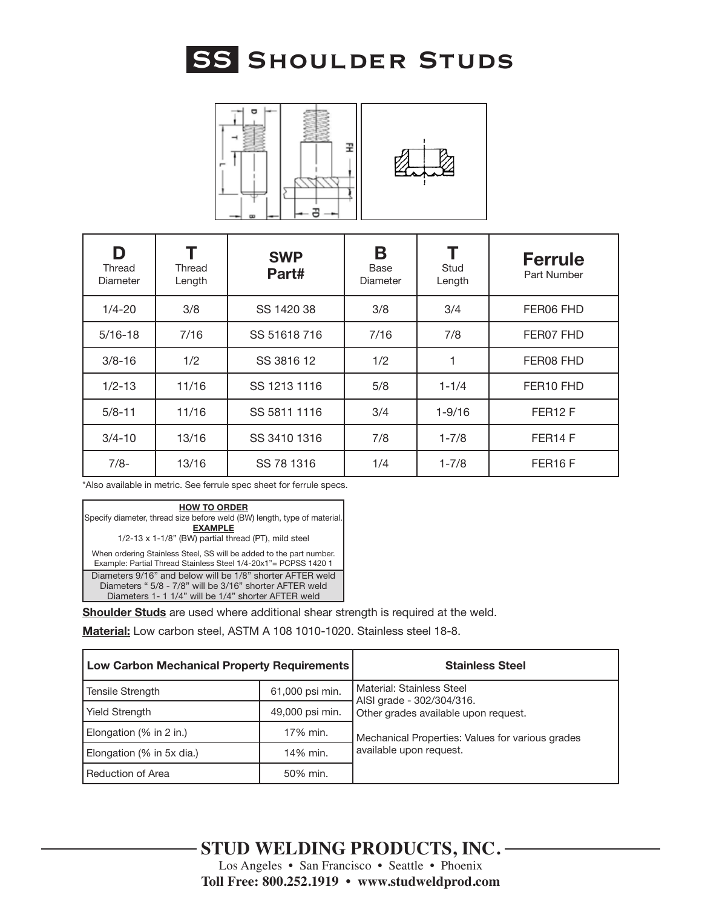



| D<br>Thread<br>Diameter | Thread<br>Length | <b>SWP</b><br>Part# | Β<br>Base<br>Diameter | Stud<br>Length | <b>Ferrule</b><br>Part Number |
|-------------------------|------------------|---------------------|-----------------------|----------------|-------------------------------|
| $1/4 - 20$              | 3/8              | SS 1420 38          | 3/8                   | 3/4            | FER06 FHD                     |
| $5/16 - 18$             | 7/16             | SS 51618716         | 7/16                  | 7/8            | FER07 FHD                     |
| $3/8 - 16$              | 1/2              | SS 3816 12          | 1/2                   | 1              | FER08 FHD                     |
| $1/2 - 13$              | 11/16            | SS 1213 1116        | 5/8                   | $1 - 1/4$      | FER <sub>10</sub> FHD         |
| $5/8 - 11$              | 11/16            | SS 5811 1116        | 3/4                   | $1 - 9/16$     | FER <sub>12</sub> F           |
| $3/4 - 10$              | 13/16            | SS 3410 1316        | 7/8                   | $1 - 7/8$      | FER <sub>14</sub> F           |
| $7/8-$                  | 13/16            | SS 78 1316          | 1/4                   | $1 - 7/8$      | FER <sub>16</sub> F           |



**Shoulder Studs** are used where additional shear strength is required at the weld.

**Material:** Low carbon steel, ASTM A 108 1010-1020. Stainless steel 18-8.

| <b>Low Carbon Mechanical Property Requirements</b> |                 | <b>Stainless Steel</b>                                 |
|----------------------------------------------------|-----------------|--------------------------------------------------------|
| <b>Tensile Strength</b>                            | 61,000 psi min. | Material: Stainless Steel<br>AISI grade - 302/304/316. |
| <b>Yield Strength</b>                              | 49,000 psi min. | Other grades available upon request.                   |
| Elongation (% in 2 in.)                            | 17% min.        | Mechanical Properties: Values for various grades       |
| Elongation (% in 5x dia.)                          | 14% min.        | available upon request.                                |
| Reduction of Area                                  | 50% min.        |                                                        |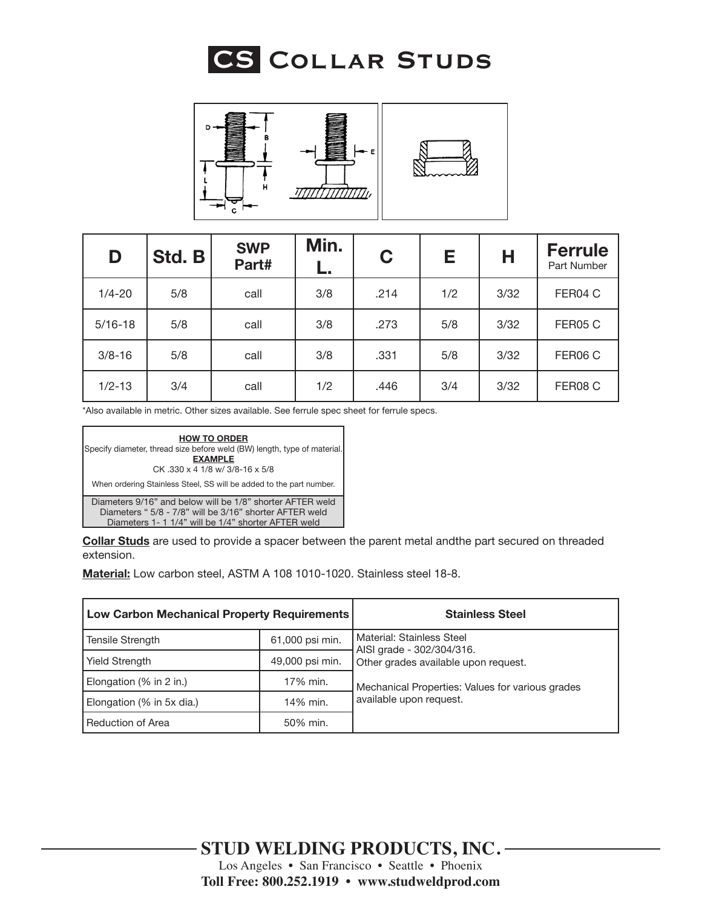



| D           | Std. B | <b>SWP</b><br>Part# | Min.<br>ь. | C    | Е   | Н    | <b>Ferrule</b><br>Part Number |
|-------------|--------|---------------------|------------|------|-----|------|-------------------------------|
| $1/4 - 20$  | 5/8    | call                | 3/8        | .214 | 1/2 | 3/32 | FER04 C                       |
| $5/16 - 18$ | 5/8    | call                | 3/8        | .273 | 5/8 | 3/32 | FER05 C                       |
| $3/8 - 16$  | 5/8    | call                | 3/8        | .331 | 5/8 | 3/32 | FER06 C                       |
| $1/2 - 13$  | 3/4    | call                | 1/2        | .446 | 3/4 | 3/32 | FER08 C                       |

\*Also available in metric. Other sizes available. See ferrule spec sheet for ferrule specs.



**Collar Studs** are used to provide a spacer between the parent metal andthe part secured on threaded extension.

**Material:** Low carbon steel, ASTM A 108 1010-1020. Stainless steel 18-8.

| <b>Low Carbon Mechanical Property Requirements</b> |                 | <b>Stainless Steel</b>                                 |
|----------------------------------------------------|-----------------|--------------------------------------------------------|
| Tensile Strength                                   | 61,000 psi min. | Material: Stainless Steel<br>AISI grade - 302/304/316. |
| <b>Yield Strength</b>                              | 49,000 psi min. | Other grades available upon request.                   |
| Elongation (% in 2 in.)                            | 17% min.        | Mechanical Properties: Values for various grades       |
| Elongation (% in 5x dia.)                          | 14% min.        | available upon request.                                |
| Reduction of Area                                  | 50% min.        |                                                        |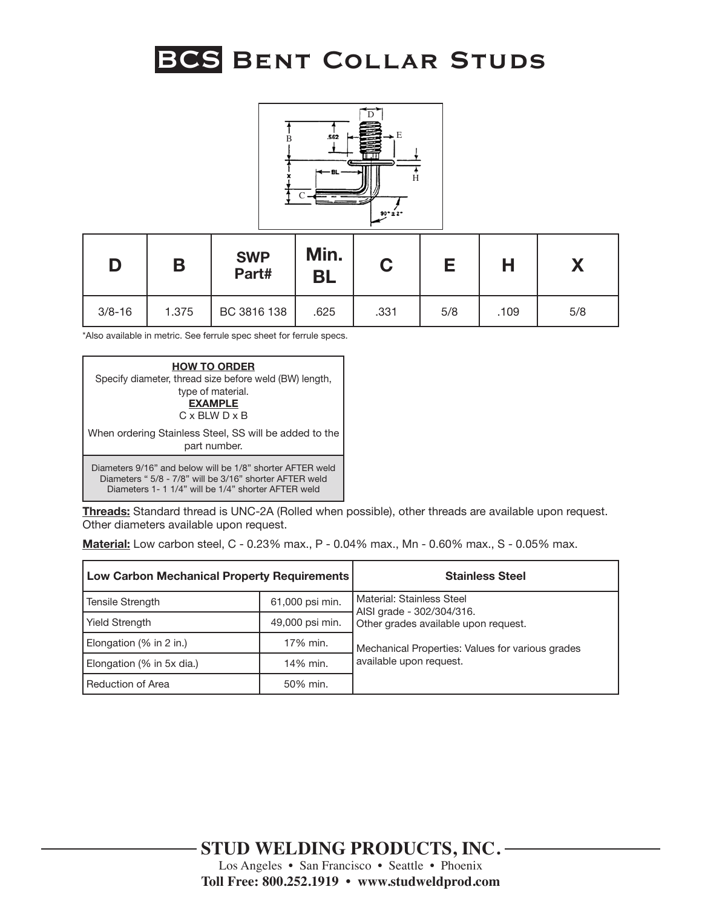# **BCS Bent Collar Studs**



|            |       | <b>SWP</b><br>Part# | Min.<br>BL | C    |     |      |     |
|------------|-------|---------------------|------------|------|-----|------|-----|
| $3/8 - 16$ | 1.375 | BC 3816 138         | .625       | .331 | 5/8 | .109 | 5/8 |

\*Also available in metric. See ferrule spec sheet for ferrule specs.



**Threads:** Standard thread is UNC-2A (Rolled when possible), other threads are available upon request. Other diameters available upon request.

**Material:** Low carbon steel, C - 0.23% max., P - 0.04% max., Mn - 0.60% max., S - 0.05% max.

| Low Carbon Mechanical Property Requirements |                 | <b>Stainless Steel</b>                                 |
|---------------------------------------------|-----------------|--------------------------------------------------------|
| Tensile Strength                            | 61,000 psi min. | Material: Stainless Steel<br>AISI grade - 302/304/316. |
| <b>Yield Strength</b>                       | 49,000 psi min. | Other grades available upon request.                   |
| Elongation (% in 2 in.)                     | 17% min.        | Mechanical Properties: Values for various grades       |
| Elongation (% in 5x dia.)                   | 14% min.        | available upon request.                                |
| Reduction of Area                           | 50% min.        |                                                        |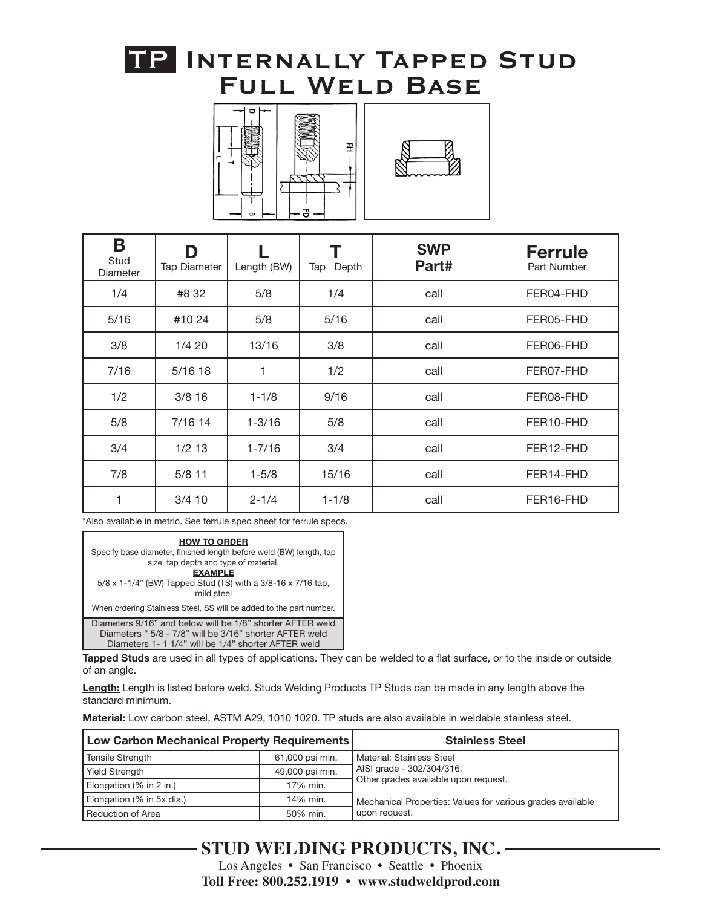### **TP. Internally Tapped Stud Full Weld Base**





| B<br>Stud<br>Diameter | D<br><b>Tap Diameter</b> | Length (BW) | Depth<br>Tap | <b>SWP</b><br>Part# | <b>Ferrule</b><br>Part Number |
|-----------------------|--------------------------|-------------|--------------|---------------------|-------------------------------|
| 1/4                   | #8 32                    | 5/8         | 1/4          | call                | FER04-FHD                     |
| 5/16                  | #10 24                   | 5/8         | 5/16         | call                | FER05-FHD                     |
| 3/8                   | 1/420                    | 13/16       | 3/8          | call                | FER06-FHD                     |
| 7/16                  | 5/1618                   | 1           | 1/2          | call                | FER07-FHD                     |
| 1/2                   | $3/8$ 16                 | $1 - 1/8$   | 9/16         | call                | FER08-FHD                     |
| 5/8                   | 7/16 14                  | $1 - 3/16$  | 5/8          | call                | FER10-FHD                     |
| 3/4                   | $1/2$ 13                 | $1 - 7/16$  | 3/4          | call                | FER12-FHD                     |
| 7/8                   | $5/8$ 11                 | $1 - 5/8$   | 15/16        | call                | FER14-FHD                     |
| 1                     | $3/4$ 10                 | $2 - 1/4$   | $1 - 1/8$    | call                | FER16-FHD                     |

\*Also available in metric. See ferrule spec sheet for ferrule specs.

| <b>HOW TO ORDER</b><br>Specify base diameter, finished length before weld (BW) length, tap<br>size, tap depth and type of material.<br><b>EXAMPLE</b><br>5/8 x 1-1/4" (BW) Tapped Stud (TS) with a 3/8-16 x 7/16 tap,<br>mild steel |
|-------------------------------------------------------------------------------------------------------------------------------------------------------------------------------------------------------------------------------------|
| When ordering Stainless Steel, SS will be added to the part number.                                                                                                                                                                 |
| Diameters 9/16" and below will be 1/8" shorter AFTER weld<br>Diameters " 5/8 - 7/8" will be 3/16" shorter AFTER weld<br>Diameters 1- 1 1/4" will be 1/4" shorter AFTER weld                                                         |

**Tapped Studs** are used in all types of applications. They can be welded to a flat surface, or to the inside or outside of an angle.

**Length:** Length is listed before weld. Studs Welding Products TP Studs can be made in any length above the standard minimum.

**Material:** Low carbon steel, ASTM A29, 1010 1020. TP studs are also available in weldable stainless steel.

| Low Carbon Mechanical Property Requirements |                 | <b>Stainless Steel</b>                                     |
|---------------------------------------------|-----------------|------------------------------------------------------------|
| Tensile Strength                            | 61,000 psi min. | l Material: Stainless Steel                                |
| <b>Yield Strength</b>                       | 49,000 psi min. | AISI grade - 302/304/316.                                  |
| Elongation (% in 2 in.)                     | 17% min.        | Other grades available upon request.                       |
| Elongation (% in 5x dia.)                   | 14% min.        | Mechanical Properties: Values for various grades available |
| Reduction of Area                           | 50% min.        | upon request.                                              |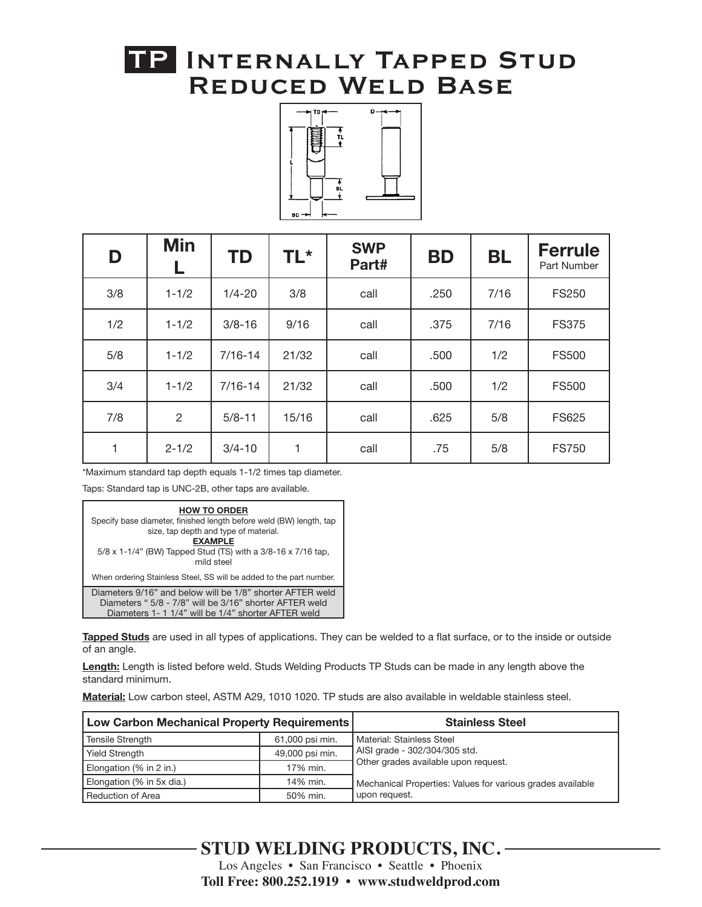### **TP. Internally Tapped Stud Reduced Weld Base**



| D   | <b>Min</b>     | <b>TD</b>   | <b>TL*</b> | <b>SWP</b><br>Part# | <b>BD</b> | <b>BL</b> | <b>Ferrule</b><br>Part Number |
|-----|----------------|-------------|------------|---------------------|-----------|-----------|-------------------------------|
| 3/8 | $1 - 1/2$      | $1/4 - 20$  | 3/8        | call                | .250      | 7/16      | <b>FS250</b>                  |
| 1/2 | $1 - 1/2$      | $3/8 - 16$  | 9/16       | call                | .375      | 7/16      | <b>FS375</b>                  |
| 5/8 | $1 - 1/2$      | $7/16 - 14$ | 21/32      | call                | .500      | 1/2       | <b>FS500</b>                  |
| 3/4 | $1 - 1/2$      | $7/16 - 14$ | 21/32      | call                | .500      | 1/2       | <b>FS500</b>                  |
| 7/8 | $\overline{c}$ | $5/8 - 11$  | 15/16      | call                | .625      | 5/8       | <b>FS625</b>                  |
| 1   | $2 - 1/2$      | $3/4 - 10$  | 1          | call                | .75       | 5/8       | <b>FS750</b>                  |

\*Maximum standard tap depth equals 1-1/2 times tap diameter.

Taps: Standard tap is UNC-2B, other taps are available.



**Tapped Studs** are used in all types of applications. They can be welded to a flat surface, or to the inside or outside of an angle.

**Length:** Length is listed before weld. Studs Welding Products TP Studs can be made in any length above the standard minimum.

**Material:** Low carbon steel, ASTM A29, 1010 1020. TP studs are also available in weldable stainless steel.

| Low Carbon Mechanical Property Requirements |                 | <b>Stainless Steel</b>                                     |
|---------------------------------------------|-----------------|------------------------------------------------------------|
| Tensile Strength                            | 61,000 psi min. | Material: Stainless Steel                                  |
| <b>Yield Strength</b>                       | 49,000 psi min. | AISI grade - 302/304/305 std.                              |
| Elongation (% in 2 in.)                     | 17% min.        | Other grades available upon request.                       |
| Elongation (% in 5x dia.)                   | 14% min.        | Mechanical Properties: Values for various grades available |
| Reduction of Area                           | 50% min.        | upon request.                                              |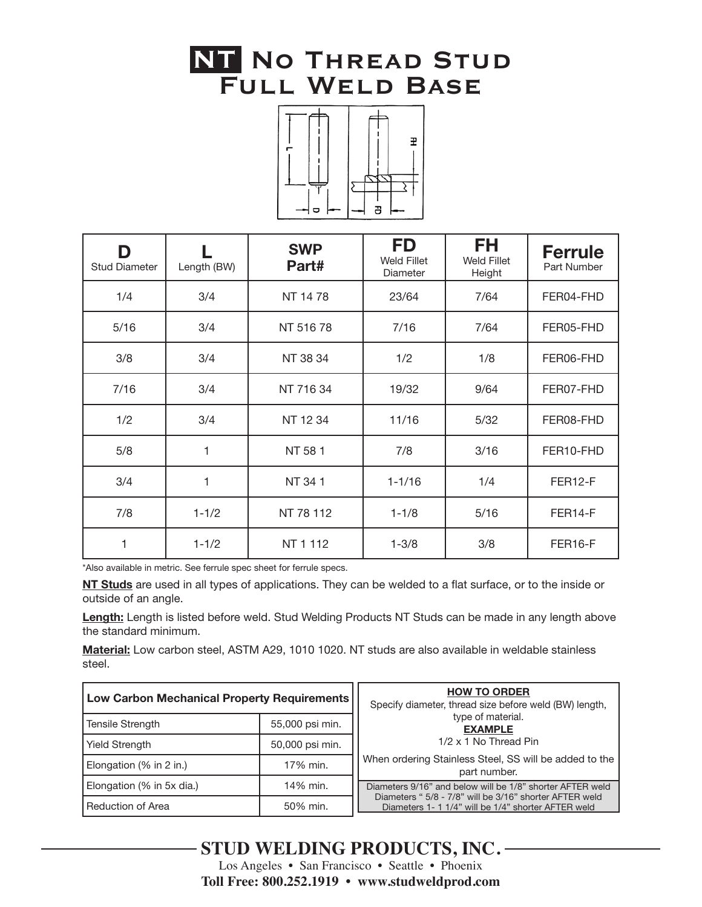### **NT. No Thread Stud Full Weld Base**



| D<br><b>Stud Diameter</b> | Length (BW) | <b>SWP</b><br>Part# | <b>FD</b><br><b>Weld Fillet</b><br>Diameter | FH<br><b>Weld Fillet</b><br>Height | <b>Ferrule</b><br>Part Number |
|---------------------------|-------------|---------------------|---------------------------------------------|------------------------------------|-------------------------------|
| 1/4                       | 3/4         | NT 1478             | 23/64                                       | 7/64                               | FER04-FHD                     |
| 5/16                      | 3/4         | NT 51678            | 7/16                                        | 7/64                               | FER05-FHD                     |
| 3/8                       | 3/4         | NT 38 34            | 1/2                                         | 1/8                                | FER06-FHD                     |
| 7/16                      | 3/4         | NT 716 34           | 19/32                                       | 9/64                               | FER07-FHD                     |
| 1/2                       | 3/4         | NT 12 34            | 11/16                                       | 5/32                               | FER08-FHD                     |
| 5/8                       | 1           | NT 581              | 7/8                                         | 3/16                               | FER10-FHD                     |
| 3/4                       | 1           | NT 341              | $1 - 1/16$                                  | 1/4                                | FER12-F                       |
| 7/8                       | $1 - 1/2$   | NT 78 112           | $1 - 1/8$                                   | 5/16                               | FER14-F                       |
|                           | $1 - 1/2$   | NT 1 112            | $1 - 3/8$                                   | 3/8                                | FER16-F                       |

\*Also available in metric. See ferrule spec sheet for ferrule specs.

**NT Studs** are used in all types of applications. They can be welded to a flat surface, or to the inside or outside of an angle.

**Length:** Length is listed before weld. Stud Welding Products NT Studs can be made in any length above the standard minimum.

**Material:** Low carbon steel, ASTM A29, 1010 1020. NT studs are also available in weldable stainless steel.

| Low Carbon Mechanical Property Requirements |                 | <b>HOW TO ORDER</b><br>Specify diameter, thread size before weld (BW) length,                                        |  |
|---------------------------------------------|-----------------|----------------------------------------------------------------------------------------------------------------------|--|
| 55,000 psi min.<br><b>Tensile Strength</b>  |                 | type of material.<br><b>EXAMPLE</b>                                                                                  |  |
| <b>Yield Strength</b>                       | 50,000 psi min. | 1/2 x 1 No Thread Pin                                                                                                |  |
| Elongation (% in 2 in.)                     | 17% min.        | When ordering Stainless Steel, SS will be added to the<br>part number.                                               |  |
| Elongation (% in 5x dia.)                   | 14% min.        | Diameters 9/16" and below will be 1/8" shorter AFTER weld<br>Diameters " 5/8 - 7/8" will be 3/16" shorter AFTER weld |  |
| Reduction of Area                           | 50% min.        | Diameters 1- 1 1/4" will be 1/4" shorter AFTER weld                                                                  |  |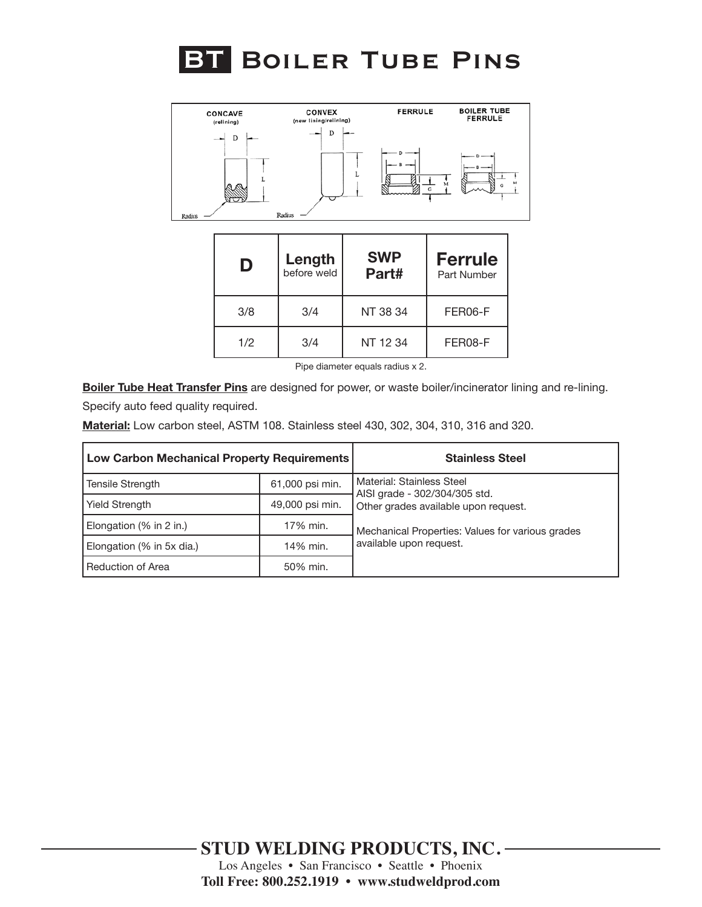



| D   | Length<br>before weld | <b>SWP</b><br>Part# | <b>Ferrule</b><br>Part Number |
|-----|-----------------------|---------------------|-------------------------------|
| 3/8 | 3/4                   | NT 38 34            | FER06-F                       |
| 1/2 | 3/4                   | NT 12 34            | FER08-F                       |

Pipe diameter equals radius x 2.

**Boiler Tube Heat Transfer Pins** are designed for power, or waste boiler/incinerator lining and re-lining. Specify auto feed quality required.

**Material:** Low carbon steel, ASTM 108. Stainless steel 430, 302, 304, 310, 316 and 320.

| <b>Low Carbon Mechanical Property Requirements</b> |                 | <b>Stainless Steel</b>                                     |
|----------------------------------------------------|-----------------|------------------------------------------------------------|
| 61,000 psi min.<br><b>Tensile Strength</b>         |                 | Material: Stainless Steel<br>AISI grade - 302/304/305 std. |
| <b>Yield Strength</b>                              | 49,000 psi min. | Other grades available upon request.                       |
| Elongation (% in 2 in.)                            | 17% min.        | Mechanical Properties: Values for various grades           |
| Elongation (% in 5x dia.)                          | 14% min.        | available upon request.                                    |
| <b>Reduction of Area</b>                           | 50% min.        |                                                            |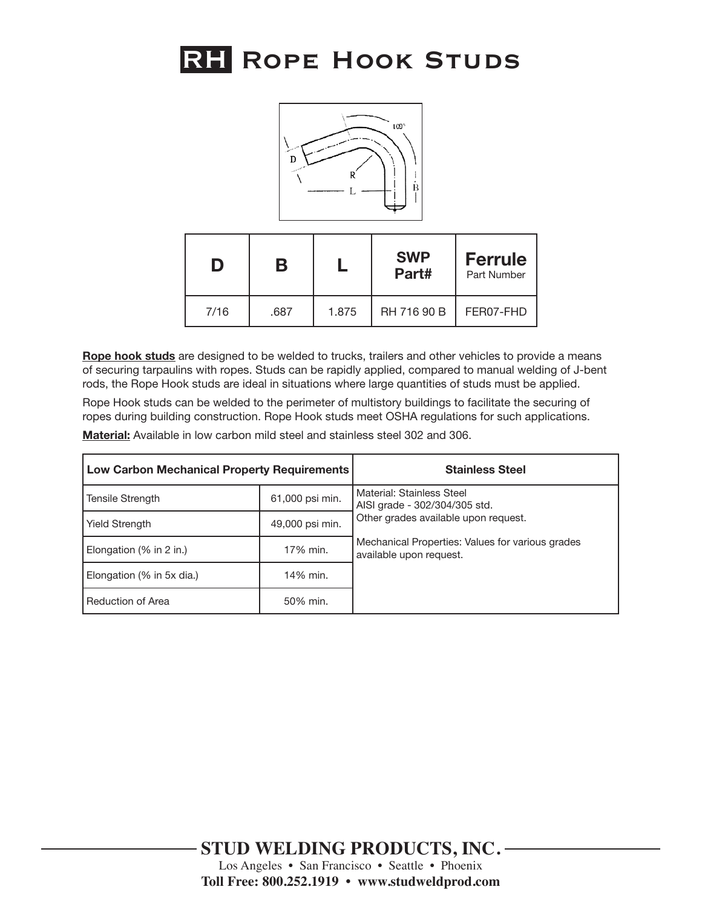# **RH. Rope Hook Studs**



| D    | В    |       | <b>SWP</b><br>Part# | <b>Ferrule</b><br>Part Number |
|------|------|-------|---------------------|-------------------------------|
| 7/16 | .687 | 1.875 | RH 716 90 B         | FER07-FHD                     |

**Rope hook studs** are designed to be welded to trucks, trailers and other vehicles to provide a means of securing tarpaulins with ropes. Studs can be rapidly applied, compared to manual welding of J-bent rods, the Rope Hook studs are ideal in situations where large quantities of studs must be applied.

Rope Hook studs can be welded to the perimeter of multistory buildings to facilitate the securing of ropes during building construction. Rope Hook studs meet OSHA regulations for such applications.

**Material:** Available in low carbon mild steel and stainless steel 302 and 306.

| <b>Low Carbon Mechanical Property Requirements</b> |                 | <b>Stainless Steel</b>                                                      |
|----------------------------------------------------|-----------------|-----------------------------------------------------------------------------|
| Tensile Strength                                   | 61,000 psi min. | Material: Stainless Steel<br>AISI grade - 302/304/305 std.                  |
| 49,000 psi min.<br><b>Yield Strength</b>           |                 | Other grades available upon request.                                        |
| 17% min.<br>Elongation $(\%$ in 2 in.)             |                 | Mechanical Properties: Values for various grades<br>available upon request. |
| Elongation (% in 5x dia.)                          | 14% min.        |                                                                             |
| Reduction of Area                                  | 50% min.        |                                                                             |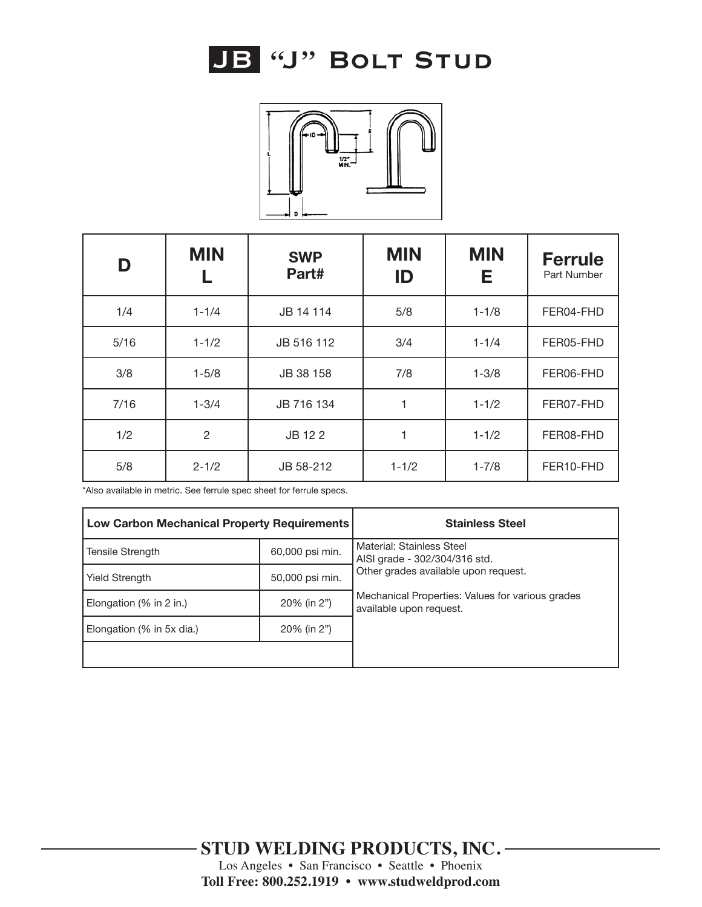



| D    | <b>MIN</b>     | <b>SWP</b><br>Part# | <b>MIN</b><br>ID | <b>MIN</b><br>Е | <b>Ferrule</b><br>Part Number |
|------|----------------|---------------------|------------------|-----------------|-------------------------------|
| 1/4  | $1 - 1/4$      | JB 14 114           | 5/8              | $1 - 1/8$       | FER04-FHD                     |
| 5/16 | $1 - 1/2$      | JB 516 112          | 3/4              | $1 - 1/4$       | FER05-FHD                     |
| 3/8  | $1 - 5/8$      | JB 38 158           | 7/8              | $1 - 3/8$       | FER06-FHD                     |
| 7/16 | $1 - 3/4$      | JB 716 134          | 1                | $1 - 1/2$       | FER07-FHD                     |
| 1/2  | $\overline{2}$ | JB 12 2             | 1                | $1 - 1/2$       | FER08-FHD                     |
| 5/8  | $2 - 1/2$      | JB 58-212           | $1 - 1/2$        | $1 - 7/8$       | FER10-FHD                     |

| <b>Low Carbon Mechanical Property Requirements</b> |                 | <b>Stainless Steel</b>                                                      |  |
|----------------------------------------------------|-----------------|-----------------------------------------------------------------------------|--|
| 60,000 psi min.<br>Tensile Strength                |                 | Material: Stainless Steel<br>AISI grade - 302/304/316 std.                  |  |
| <b>Yield Strength</b>                              | 50,000 psi min. | Other grades available upon request.                                        |  |
| 20% (in 2")<br>Elongation $(\%$ in 2 in.)          |                 | Mechanical Properties: Values for various grades<br>available upon request. |  |
| 20% (in 2")<br>Elongation (% in 5x dia.)           |                 |                                                                             |  |
|                                                    |                 |                                                                             |  |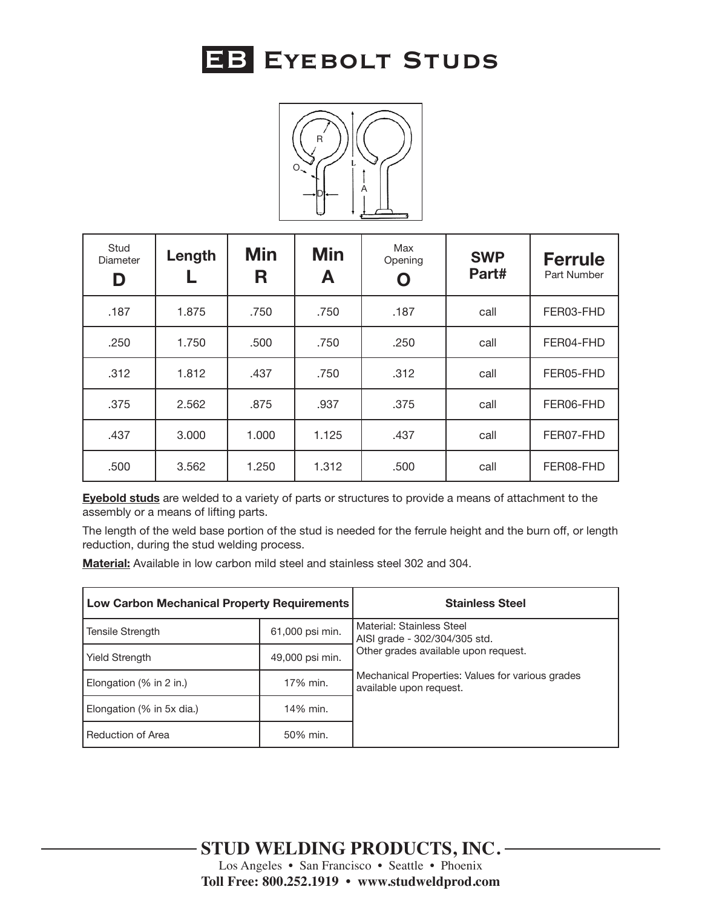



| Stud<br><b>Diameter</b><br>D | Length | <b>Min</b><br>R | <b>Min</b><br>A | Max<br>Opening | <b>SWP</b><br>Part# | <b>Ferrule</b><br>Part Number |
|------------------------------|--------|-----------------|-----------------|----------------|---------------------|-------------------------------|
| .187                         | 1.875  | .750            | .750            | .187           | call                | FER03-FHD                     |
| .250                         | 1.750  | .500            | .750            | .250           | call                | FER04-FHD                     |
| .312                         | 1.812  | .437            | .750            | .312           | call                | FER05-FHD                     |
| .375                         | 2.562  | .875            | .937            | .375           | call                | FER06-FHD                     |
| .437                         | 3.000  | 1.000           | 1.125           | .437           | call                | FER07-FHD                     |
| .500                         | 3.562  | 1.250           | 1.312           | .500           | call                | FER08-FHD                     |

**Eyebold studs** are welded to a variety of parts or structures to provide a means of attachment to the assembly or a means of lifting parts.

The length of the weld base portion of the stud is needed for the ferrule height and the burn off, or length reduction, during the stud welding process.

**Material:** Available in low carbon mild steel and stainless steel 302 and 304.

| <b>Low Carbon Mechanical Property Requirements</b> |                 | <b>Stainless Steel</b>                                                      |  |
|----------------------------------------------------|-----------------|-----------------------------------------------------------------------------|--|
| Tensile Strength                                   | 61,000 psi min. | Material: Stainless Steel<br>AISI grade - 302/304/305 std.                  |  |
| <b>Yield Strength</b>                              | 49,000 psi min. | Other grades available upon request.                                        |  |
| Elongation $(\%$ in 2 in.)                         | 17% min.        | Mechanical Properties: Values for various grades<br>available upon request. |  |
| Elongation (% in 5x dia.)                          | 14% min.        |                                                                             |  |
| Reduction of Area                                  | 50% min.        |                                                                             |  |